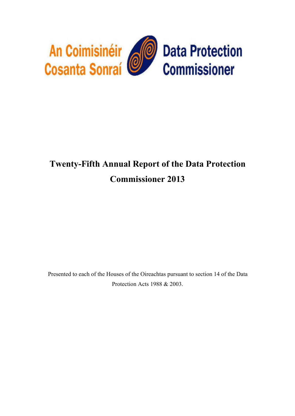

# **Twenty-Fifth Annual Report of the Data Protection Commissioner 2013**

Presented to each of the Houses of the Oireachtas pursuant to section 14 of the Data Protection Acts 1988 & 2003.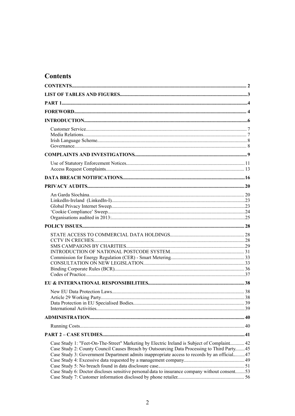# <span id="page-1-0"></span>**Contents**

| Case Study 1: "Feet-On-The-Street" Marketing by Electric Ireland is Subject of Complaint 42<br>Case Study 2: County Council Causes Breach by Outsourcing Data Processing to Third Party45<br>Case Study 3: Government Department admits inappropriate access to records by an official47<br>Case Study 6: Doctor discloses sensitive personal data to insurance company without consent53 |  |
|-------------------------------------------------------------------------------------------------------------------------------------------------------------------------------------------------------------------------------------------------------------------------------------------------------------------------------------------------------------------------------------------|--|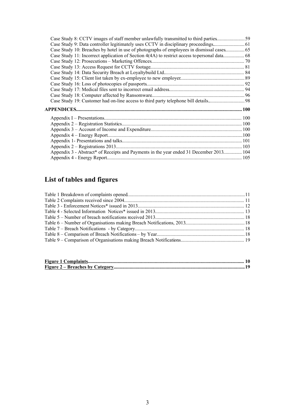| Case Study 8: CCTV images of staff member unlawfully transmitted to third parties      |  |
|----------------------------------------------------------------------------------------|--|
|                                                                                        |  |
|                                                                                        |  |
|                                                                                        |  |
|                                                                                        |  |
|                                                                                        |  |
|                                                                                        |  |
|                                                                                        |  |
|                                                                                        |  |
|                                                                                        |  |
|                                                                                        |  |
|                                                                                        |  |
|                                                                                        |  |
|                                                                                        |  |
|                                                                                        |  |
|                                                                                        |  |
|                                                                                        |  |
|                                                                                        |  |
|                                                                                        |  |
|                                                                                        |  |
| Appendix 3 - Abstract* of Receipts and Payments in the year ended 31 December 2013 104 |  |
|                                                                                        |  |

# <span id="page-2-0"></span>**List of tables and figures**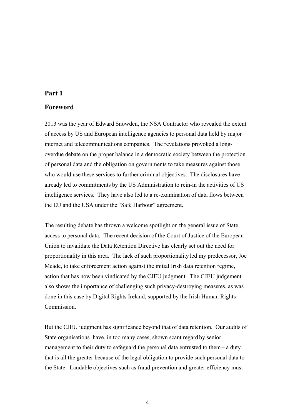# <span id="page-3-1"></span>**Part 1**

# <span id="page-3-0"></span>**Foreword**

2013 was the year of Edward Snowden, the NSA Contractor who revealed the extent of access by US and European intelligence agencies to personal data held by major internet and telecommunications companies. The revelations provoked a longoverdue debate on the proper balance in a democratic society between the protection of personal data and the obligation on governments to take measures against those who would use these services to further criminal objectives. The disclosures have already led to commitments by the US Administration to rein-in the activities of US intelligence services. They have also led to a re-examination of data flows between the EU and the USA under the "Safe Harbour" agreement.

The resulting debate has thrown a welcome spotlight on the general issue of State access to personal data. The recent decision of the Court of Justice of the European Union to invalidate the Data Retention Directive has clearly set out the need for proportionality in this area. The lack of such proportionality led my predecessor, Joe Meade, to take enforcement action against the initial Irish data retention regime, action that has now been vindicated by the CJEU judgment. The CJEU judgement also shows the importance of challenging such privacy-destroying measures, as was done in this case by Digital Rights Ireland, supported by the Irish Human Rights Commission.

But the CJEU judgment has significance beyond that of data retention. Our audits of State organisations have, in too many cases, shown scant regard by senior management to their duty to safeguard the personal data entrusted to them – a duty that is all the greater because of the legal obligation to provide such personal data to the State. Laudable objectives such as fraud prevention and greater efficiency must

4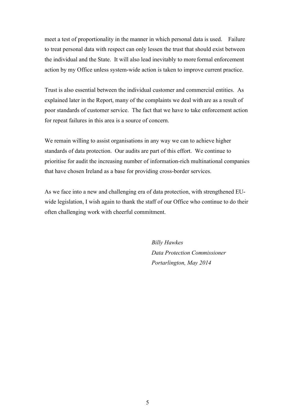meet a test of proportionality in the manner in which personal data is used. Failure to treat personal data with respect can only lessen the trust that should exist between the individual and the State. It will also lead inevitably to more formal enforcement action by my Office unless system-wide action is taken to improve current practice.

Trust is also essential between the individual customer and commercial entities. As explained later in the Report, many of the complaints we deal with are as a result of poor standards of customer service. The fact that we have to take enforcement action for repeat failures in this area is a source of concern.

We remain willing to assist organisations in any way we can to achieve higher standards of data protection. Our audits are part of this effort. We continue to prioritise for audit the increasing number of information-rich multinational companies that have chosen Ireland as a base for providing cross-border services.

As we face into a new and challenging era of data protection, with strengthened EUwide legislation, I wish again to thank the staff of our Office who continue to do their often challenging work with cheerful commitment.

> *Billy Hawkes Data Protection Commissioner Portarlington, May 2014*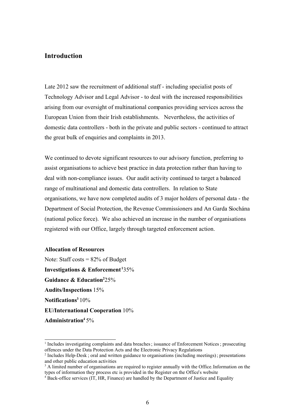# <span id="page-5-0"></span>**Introduction**

Late 2012 saw the recruitment of additional staff - including specialist posts of Technology Advisor and Legal Advisor - to deal with the increased responsibilities arising from our oversight of multinational companies providing services across the European Union from their Irish establishments. Nevertheless, the activities of domestic data controllers - both in the private and public sectors - continued to attract the great bulk of enquiries and complaints in 2013.

We continued to devote significant resources to our advisory function, preferring to assist organisations to achieve best practice in data protection rather than having to deal with non-compliance issues. Our audit activity continued to target a balanced range of multinational and domestic data controllers. In relation to State organisations, we have now completed audits of 3 major holders of personal data - the Department of Social Protection, the Revenue Commissioners and An Garda Síochána (national police force). We also achieved an increase in the number of organisations registered with our Office, largely through targeted enforcement action.

# **Allocation of Resources**

Note: Staff costs  $= 82\%$  of Budget **Investigations & Enforcement 1**35% **Guidance & Education2** 25% **Audits/Inspections** 15% **Notifications3** 10% **EU/International Cooperation** 10% **Administration4** 5%

<sup>&</sup>lt;sup>1</sup> Includes investigating complaints and data breaches; issuance of Enforcement Notices; prosecuting offences under the Data Protection Acts and the Electronic Privacy Regulations

<sup>&</sup>lt;sup>2</sup> Includes Help-Desk; oral and written guidance to organisations (including meetings); presentations and other public education activities

<sup>&</sup>lt;sup>3</sup> A limited number of organisations are required to register annually with the Office. Information on the types of information they process etc is provided in the Register on the Office's website

<sup>4</sup> Back-office services (IT, HR, Finance) are handled by the Department of Justice and Equality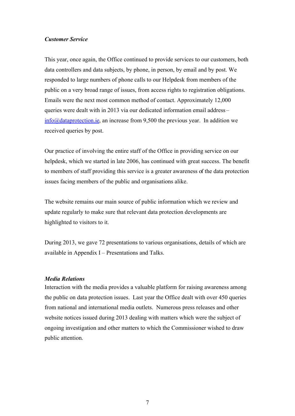#### <span id="page-6-1"></span>*Customer Service*

This year, once again, the Office continued to provide services to our customers, both data controllers and data subjects, by phone, in person, by email and by post. We responded to large numbers of phone calls to our Helpdesk from members of the public on a very broad range of issues, from access rights to registration obligations. Emails were the next most common method of contact. Approximately 12,000 queries were dealt with in 2013 via our dedicated information email address – [info@dataprotection.ie](mailto:info@dataprotection.ie), an increase from 9,500 the previous year. In addition we received queries by post.

Our practice of involving the entire staff of the Office in providing service on our helpdesk, which we started in late 2006, has continued with great success. The benefit to members of staff providing this service is a greater awareness of the data protection issues facing members of the public and organisations alike.

The website remains our main source of public information which we review and update regularly to make sure that relevant data protection developments are highlighted to visitors to it.

During 2013, we gave 72 presentations to various organisations, details of which are available in Appendix I – Presentations and Talks.

#### <span id="page-6-0"></span>*Media Relations*

Interaction with the media provides a valuable platform for raising awareness among the public on data protection issues. Last year the Office dealt with over 450 queries from national and international media outlets. Numerous press releases and other website notices issued during 2013 dealing with matters which were the subject of ongoing investigation and other matters to which the Commissioner wished to draw public attention.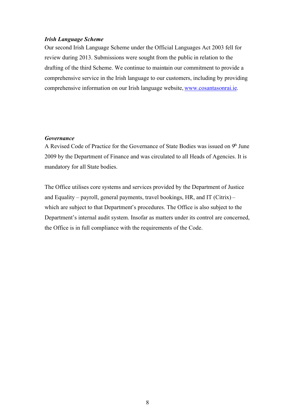# <span id="page-7-1"></span>*Irish Language Scheme*

Our second Irish Language Scheme under the Official Languages Act 2003 fell for review during 2013. Submissions were sought from the public in relation to the drafting of the third Scheme. We continue to maintain our commitment to provide a comprehensive service in the Irish language to our customers, including by providing comprehensive information on our Irish language website, [www.cosantasonrai.ie](http://www.cosantasonrai.ie/).

# <span id="page-7-0"></span>*Governance*

A Revised Code of Practice for the Governance of State Bodies was issued on  $9<sup>th</sup>$  June 2009 by the Department of Finance and was circulated to all Heads of Agencies. It is mandatory for all State bodies.

The Office utilises core systems and services provided by the Department of Justice and Equality – payroll, general payments, travel bookings, HR, and IT (Citrix) – which are subject to that Department's procedures. The Office is also subject to the Department's internal audit system. Insofar as matters under its control are concerned, the Office is in full compliance with the requirements of the Code.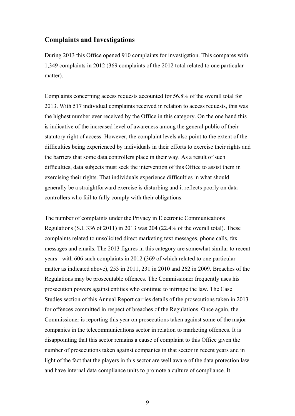# <span id="page-8-0"></span>**Complaints and Investigations**

During 2013 this Office opened 910 complaints for investigation. This compares with 1,349 complaints in 2012 (369 complaints of the 2012 total related to one particular matter).

Complaints concerning access requests accounted for 56.8% of the overall total for 2013. With 517 individual complaints received in relation to access requests, this was the highest number ever received by the Office in this category. On the one hand this is indicative of the increased level of awareness among the general public of their statutory right of access. However, the complaint levels also point to the extent of the difficulties being experienced by individuals in their efforts to exercise their rights and the barriers that some data controllers place in their way. As a result of such difficulties, data subjects must seek the intervention of this Office to assist them in exercising their rights. That individuals experience difficulties in what should generally be a straightforward exercise is disturbing and it reflects poorly on data controllers who fail to fully comply with their obligations.

The number of complaints under the Privacy in Electronic Communications Regulations (S.I. 336 of 2011) in 2013 was 204 (22.4% of the overall total). These complaints related to unsolicited direct marketing text messages, phone calls, fax messages and emails. The 2013 figures in this category are somewhat similar to recent years - with 606 such complaints in 2012 (369 of which related to one particular matter as indicated above), 253 in 2011, 231 in 2010 and 262 in 2009. Breaches of the Regulations may be prosecutable offences. The Commissioner frequently uses his prosecution powers against entities who continue to infringe the law. The Case Studies section of this Annual Report carries details of the prosecutions taken in 2013 for offences committed in respect of breaches of the Regulations. Once again, the Commissioner is reporting this year on prosecutions taken against some of the major companies in the telecommunications sector in relation to marketing offences. It is disappointing that this sector remains a cause of complaint to this Office given the number of prosecutions taken against companies in that sector in recent years and in light of the fact that the players in this sector are well aware of the data protection law and have internal data compliance units to promote a culture of compliance. It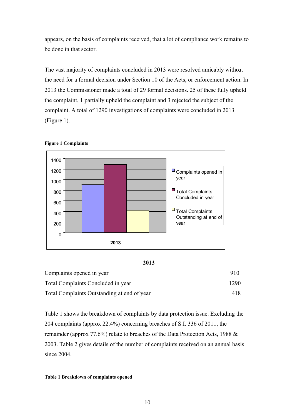appears, on the basis of complaints received, that a lot of compliance work remains to be done in that sector.

The vast majority of complaints concluded in 2013 were resolved amicably without the need for a formal decision under Section 10 of the Acts, or enforcement action. In 2013 the Commissioner made a total of 29 formal decisions. 25 of these fully upheld the complaint, 1 partially upheld the complaint and 3 rejected the subject of the complaint. A total of 1290 investigations of complaints were concluded in 2013 (Figure 1).



<span id="page-9-0"></span>



| Complaints opened in year                   | 910  |
|---------------------------------------------|------|
| Total Complaints Concluded in year          | 1290 |
| Total Complaints Outstanding at end of year | 418  |

Table 1 shows the breakdown of complaints by data protection issue. Excluding the 204 complaints (approx 22.4%) concerning breaches of S.I. 336 of 2011, the remainder (approx 77.6%) relate to breaches of the Data Protection Acts, 1988 & 2003. Table 2 gives details of the number of complaints received on an annual basis since 2004.

#### <span id="page-9-1"></span>**Table 1 Breakdown of complaints opened**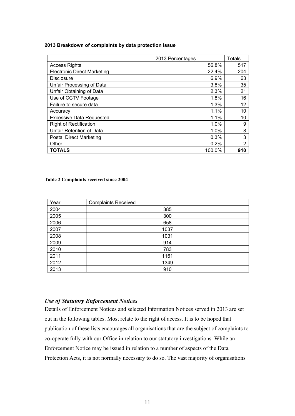#### **2013 Breakdown of complaints by data protection issue**

|                                    | 2013 Percentages | <b>Totals</b>  |
|------------------------------------|------------------|----------------|
| <b>Access Rights</b>               | 56.8%            | 517            |
| <b>Electronic Direct Marketing</b> | 22.4%            | 204            |
| Disclosure                         | 6.9%             | 63             |
| Unfair Processing of Data          | 3.8%             | 35             |
| Unfair Obtaining of Data           | 2.3%             | 21             |
| Use of CCTV Footage                | 1.8%             | 16             |
| Failure to secure data             | 1.3%             | 12             |
| Accuracy                           | 1.1%             | 10             |
| <b>Excessive Data Requested</b>    | 1.1%             | 10             |
| <b>Right of Rectification</b>      | 1.0%             | 9              |
| Unfair Retention of Data           | 1.0%             | 8              |
| <b>Postal Direct Marketing</b>     | 0.3%             | 3              |
| Other                              | 0.2%             | $\overline{2}$ |
| TOTALS                             | 100.0%           | 910            |

#### <span id="page-10-1"></span>**Table 2 Complaints received since 2004**

| Year | <b>Complaints Received</b> |
|------|----------------------------|
| 2004 | 385                        |
| 2005 | 300                        |
| 2006 | 658                        |
| 2007 | 1037                       |
| 2008 | 1031                       |
| 2009 | 914                        |
| 2010 | 783                        |
| 2011 | 1161                       |
| 2012 | 1349                       |
| 2013 | 910                        |

# <span id="page-10-0"></span>*Use of Statutory Enforcement Notices*

Details of Enforcement Notices and selected Information Notices served in 2013 are set out in the following tables. Most relate to the right of access. It is to be hoped that publication of these lists encourages all organisations that are the subject of complaints to co-operate fully with our Office in relation to our statutory investigations. While an Enforcement Notice may be issued in relation to a number of aspects of the Data Protection Acts, it is not normally necessary to do so. The vast majority of organisations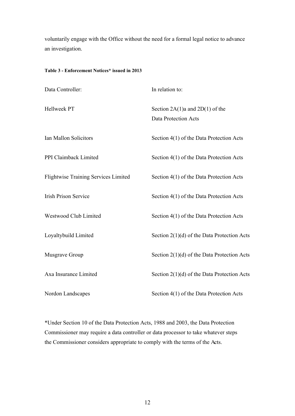voluntarily engage with the Office without the need for a formal legal notice to advance an investigation.

# <span id="page-11-0"></span>**Table 3 - Enforcement Notices\* issued in 2013**

| Data Controller:                            | In relation to:                                             |
|---------------------------------------------|-------------------------------------------------------------|
| Hellweek PT                                 | Section $2A(1)a$ and $2D(1)$ of the<br>Data Protection Acts |
| Ian Mallon Solicitors                       | Section 4(1) of the Data Protection Acts                    |
| PPI Claimback Limited                       | Section 4(1) of the Data Protection Acts                    |
| <b>Flightwise Training Services Limited</b> | Section 4(1) of the Data Protection Acts                    |
| <b>Irish Prison Service</b>                 | Section 4(1) of the Data Protection Acts                    |
| Westwood Club Limited                       | Section 4(1) of the Data Protection Acts                    |
| Loyaltybuild Limited                        | Section $2(1)(d)$ of the Data Protection Acts               |
| Musgrave Group                              | Section $2(1)(d)$ of the Data Protection Acts               |
| Axa Insurance Limited                       | Section $2(1)(d)$ of the Data Protection Acts               |
| Nordon Landscapes                           | Section 4(1) of the Data Protection Acts                    |

\*Under Section 10 of the Data Protection Acts, 1988 and 2003, the Data Protection Commissioner may require a data controller or data processor to take whatever steps the Commissioner considers appropriate to comply with the terms of the Acts.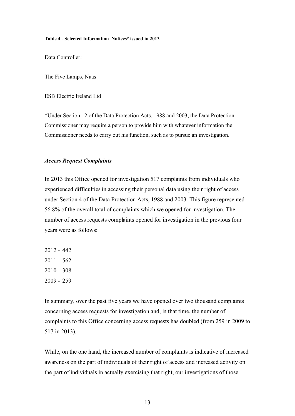#### <span id="page-12-1"></span>**Table 4 - Selected Information Notices\* issued in 2013**

Data Controller:

The Five Lamps, Naas

ESB Electric Ireland Ltd

\*Under Section 12 of the Data Protection Acts, 1988 and 2003, the Data Protection Commissioner may require a person to provide him with whatever information the Commissioner needs to carry out his function, such as to pursue an investigation.

# <span id="page-12-0"></span>*Access Request Complaints*

In 2013 this Office opened for investigation 517 complaints from individuals who experienced difficulties in accessing their personal data using their right of access under Section 4 of the Data Protection Acts, 1988 and 2003. This figure represented 56.8% of the overall total of complaints which we opened for investigation. The number of access requests complaints opened for investigation in the previous four years were as follows:

In summary, over the past five years we have opened over two thousand complaints concerning access requests for investigation and, in that time, the number of complaints to this Office concerning access requests has doubled (from 259 in 2009 to 517 in 2013).

While, on the one hand, the increased number of complaints is indicative of increased awareness on the part of individuals of their right of access and increased activity on the part of individuals in actually exercising that right, our investigations of those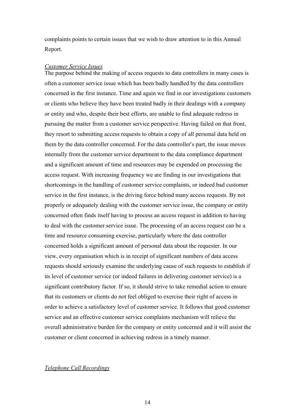complaints points to certain issues that we wish to draw attention to in this Annual Report.

#### *Customer Service Issues*

The purpose behind the making of access requests to data controllers in many cases is often a customer service issue which has been badly handled by the data controllers concerned in the first instance. Time and again we find in our investigations customers or clients who believe they have been treated badly in their dealings with a company or entity and who, despite their best efforts, are unable to find adequate redress in pursuing the matter from a customer service perspective. Having failed on that front, they resort to submitting access requests to obtain a copy of all personal data held on them by the data controller concerned. For the data controller's part, the issue moves internally from the customer service department to the data compliance department and a significant amount of time and resources may be expended on processing the access request. With increasing frequency we are finding in our investigations that shortcomings in the handling of customer service complaints, or indeed bad customer service in the first instance, is the driving force behind many access requests. By not properly or adequately dealing with the customer service issue, the company or entity concerned often finds itself having to process an access request in addition to having to deal with the customer service issue. The processing of an access request can be a time and resource consuming exercise, particularly where the data controller concerned holds a significant amount of personal data about the requester. In our view, every organisation which is in receipt of significant numbers of data access requests should seriously examine the underlying cause of such requests to establish if its level of customer service (or indeed failures in delivering customer service) is a significant contributory factor. If so, it should strive to take remedial action to ensure that its customers or clients do not feel obliged to exercise their right of access in order to achieve a satisfactory level of customer service. It follows that good customer service and an effective customer service complaints mechanism will relieve the overall administrative burden for the company or entity concerned and it will assist the customer or client concerned in achieving redress in a timely manner.

# *Telephone Call Recordings*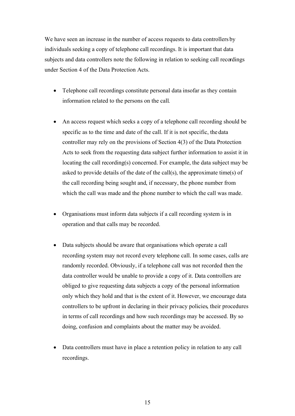We have seen an increase in the number of access requests to data controllers by individuals seeking a copy of telephone call recordings. It is important that data subjects and data controllers note the following in relation to seeking call recordings under Section 4 of the Data Protection Acts.

- Telephone call recordings constitute personal data insofar as they contain information related to the persons on the call.
- An access request which seeks a copy of a telephone call recording should be specific as to the time and date of the call. If it is not specific, the data controller may rely on the provisions of Section 4(3) of the Data Protection Acts to seek from the requesting data subject further information to assist it in locating the call recording(s) concerned. For example, the data subject may be asked to provide details of the date of the call(s), the approximate time(s) of the call recording being sought and, if necessary, the phone number from which the call was made and the phone number to which the call was made.
- Organisations must inform data subjects if a call recording system is in operation and that calls may be recorded.
- Data subjects should be aware that organisations which operate a call recording system may not record every telephone call. In some cases, calls are randomly recorded. Obviously, if a telephone call was not recorded then the data controller would be unable to provide a copy of it. Data controllers are obliged to give requesting data subjects a copy of the personal information only which they hold and that is the extent of it. However, we encourage data controllers to be upfront in declaring in their privacy policies, their procedures in terms of call recordings and how such recordings may be accessed. By so doing, confusion and complaints about the matter may be avoided.
- Data controllers must have in place a retention policy in relation to any call recordings.

15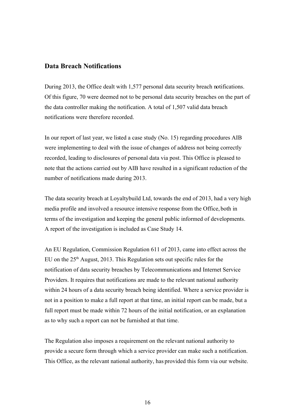# <span id="page-15-0"></span>**Data Breach Notifications**

During 2013, the Office dealt with 1,577 personal data security breach notifications. Of this figure, 70 were deemed not to be personal data security breaches on the part of the data controller making the notification. A total of 1,507 valid data breach notifications were therefore recorded.

In our report of last year, we listed a case study (No. 15) regarding procedures AIB were implementing to deal with the issue of changes of address not being correctly recorded, leading to disclosures of personal data via post. This Office is pleased to note that the actions carried out by AIB have resulted in a significant reduction of the number of notifications made during 2013.

The data security breach at Loyaltybuild Ltd, towards the end of 2013, had a very high media profile and involved a resource intensive response from the Office, both in terms of the investigation and keeping the general public informed of developments. A report of the investigation is included as Case Study 14.

An EU Regulation, Commission Regulation 611 of 2013, came into effect across the EU on the  $25<sup>th</sup>$  August, 2013. This Regulation sets out specific rules for the notification of data security breaches by Telecommunications and Internet Service Providers. It requires that notifications are made to the relevant national authority within 24 hours of a data security breach being identified. Where a service provider is not in a position to make a full report at that time, an initial report can be made, but a full report must be made within 72 hours of the initial notification, or an explanation as to why such a report can not be furnished at that time.

The Regulation also imposes a requirement on the relevant national authority to provide a secure form through which a service provider can make such a notification. This Office, as the relevant national authority, has provided this form via our website.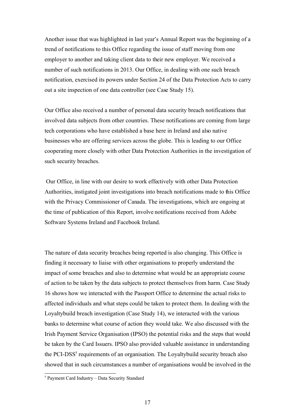Another issue that was highlighted in last year's Annual Report was the beginning of a trend of notifications to this Office regarding the issue of staff moving from one employer to another and taking client data to their new employer. We received a number of such notifications in 2013. Our Office, in dealing with one such breach notification, exercised its powers under Section 24 of the Data Protection Acts to carry out a site inspection of one data controller (see Case Study 15).

Our Office also received a number of personal data security breach notifications that involved data subjects from other countries. These notifications are coming from large tech corporations who have established a base here in Ireland and also native businesses who are offering services across the globe. This is leading to our Office cooperating more closely with other Data Protection Authorities in the investigation of such security breaches.

 Our Office, in line with our desire to work effectively with other Data Protection Authorities, instigated joint investigations into breach notifications made to this Office with the Privacy Commissioner of Canada. The investigations, which are ongoing at the time of publication of this Report, involve notifications received from Adobe Software Systems Ireland and Facebook Ireland.

The nature of data security breaches being reported is also changing. This Office is finding it necessary to liaise with other organisations to properly understand the impact of some breaches and also to determine what would be an appropriate course of action to be taken by the data subjects to protect themselves from harm. Case Study 16 shows how we interacted with the Passport Office to determine the actual risks to affected individuals and what steps could be taken to protect them. In dealing with the Loyaltybuild breach investigation (Case Study 14), we interacted with the various banks to determine what course of action they would take. We also discussed with the Irish Payment Service Organisation (IPSO) the potential risks and the steps that would be taken by the Card Issuers. IPSO also provided valuable assistance in understanding the PCI-DSS<sup>5</sup> requirements of an organisation. The Loyaltybuild security breach also showed that in such circumstances a number of organisations would be involved in the

<sup>5</sup> Payment Card Industry – Data Security Standard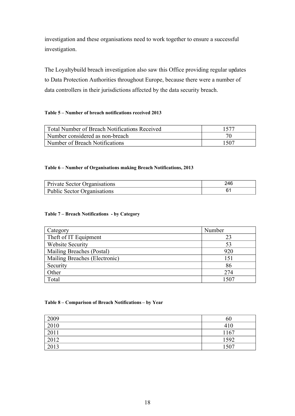investigation and these organisations need to work together to ensure a successful investigation.

The Loyaltybuild breach investigation also saw this Office providing regular updates to Data Protection Authorities throughout Europe, because there were a number of data controllers in their jurisdictions affected by the data security breach.

# <span id="page-17-3"></span>**Table 5 – Number of breach notifications received 2013**

| <b>Total Number of Breach Notifications Received</b> | 1577 |
|------------------------------------------------------|------|
| Number considered as non-breach                      |      |
| Number of Breach Notifications                       | 1507 |

# <span id="page-17-2"></span>**Table 6 – Number of Organisations making Breach Notifications, 2013**

| <b>Private Sector Organisations</b> | 246 |
|-------------------------------------|-----|
| <b>Public Sector Organisations</b>  |     |

#### <span id="page-17-1"></span>**Table 7 – Breach Notifications - by Category**

| Category                      | Number |
|-------------------------------|--------|
| Theft of IT Equipment         | 23     |
| Website Security              | 53     |
| Mailing Breaches (Postal)     | 920    |
| Mailing Breaches (Electronic) | 151    |
| Security                      | 86     |
| Other                         | 274    |
| Total                         | 1507   |

#### <span id="page-17-0"></span>**Table 8 – Comparison of Breach Notifications – by Year**

| 2009 | 6U   |
|------|------|
| 2010 | 410  |
| 2011 | 1167 |
| 2012 | 1592 |
| 2013 | 507  |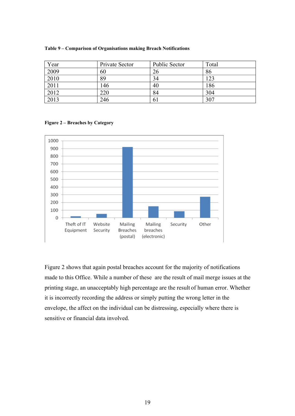| Year | Private Sector | <b>Public Sector</b> | Total |
|------|----------------|----------------------|-------|
| 2009 | 60             | 26                   | 86    |
| 2010 | 89             | 34                   | 123   |
| 2011 | 146            | 40                   | 186   |
| 2012 | 220            | 84                   | 304   |
| 2013 | 246            | 61                   | 307   |

<span id="page-18-1"></span>**Table 9 – Comparison of Organisations making Breach Notifications**

<span id="page-18-0"></span>



Figure 2 shows that again postal breaches account for the majority of notifications made to this Office. While a number of these are the result of mail merge issues at the printing stage, an unacceptably high percentage are the result of human error. Whether it is incorrectly recording the address or simply putting the wrong letter in the envelope, the affect on the individual can be distressing, especially where there is sensitive or financial data involved.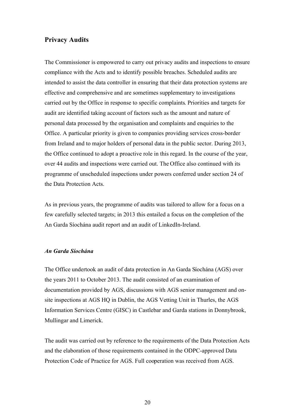# <span id="page-19-1"></span>**Privacy Audits**

The Commissioner is empowered to carry out privacy audits and inspections to ensure compliance with the Acts and to identify possible breaches. Scheduled audits are intended to assist the data controller in ensuring that their data protection systems are effective and comprehensive and are sometimes supplementary to investigations carried out by the Office in response to specific complaints. Priorities and targets for audit are identified taking account of factors such as the amount and nature of personal data processed by the organisation and complaints and enquiries to the Office. A particular priority is given to companies providing services cross-border from Ireland and to major holders of personal data in the public sector. During 2013, the Office continued to adopt a proactive role in this regard. In the course of the year, over 44 audits and inspections were carried out. The Office also continued with its programme of unscheduled inspections under powers conferred under section 24 of the Data Protection Acts.

As in previous years, the programme of audits was tailored to allow for a focus on a few carefully selected targets; in 2013 this entailed a focus on the completion of the An Garda Síochána audit report and an audit of LinkedIn-Ireland.

#### <span id="page-19-0"></span>*An Garda Síochána*

The Office undertook an audit of data protection in An Garda Síochána (AGS) over the years 2011 to October 2013. The audit consisted of an examination of documentation provided by AGS, discussions with AGS senior management and onsite inspections at AGS HQ in Dublin, the AGS Vetting Unit in Thurles, the AGS Information Services Centre (GISC) in Castlebar and Garda stations in Donnybrook, Mullingar and Limerick.

The audit was carried out by reference to the requirements of the Data Protection Acts and the elaboration of those requirements contained in the ODPC-approved Data Protection Code of Practice for AGS. Full cooperation was received from AGS.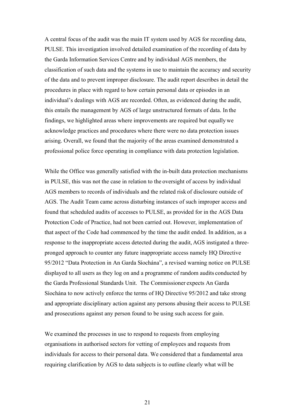A central focus of the audit was the main IT system used by AGS for recording data, PULSE. This investigation involved detailed examination of the recording of data by the Garda Information Services Centre and by individual AGS members, the classification of such data and the systems in use to maintain the accuracy and security of the data and to prevent improper disclosure. The audit report describes in detail the procedures in place with regard to how certain personal data or episodes in an individual's dealings with AGS are recorded. Often, as evidenced during the audit, this entails the management by AGS of large unstructured formats of data. In the findings, we highlighted areas where improvements are required but equally we acknowledge practices and procedures where there were no data protection issues arising. Overall, we found that the majority of the areas examined demonstrated a professional police force operating in compliance with data protection legislation.

While the Office was generally satisfied with the in-built data protection mechanisms in PULSE, this was not the case in relation to the oversight of access by individual AGS members to records of individuals and the related risk of disclosure outside of AGS. The Audit Team came across disturbing instances of such improper access and found that scheduled audits of accesses to PULSE, as provided for in the AGS Data Protection Code of Practice, had not been carried out. However, implementation of that aspect of the Code had commenced by the time the audit ended. In addition, as a response to the inappropriate access detected during the audit, AGS instigated a threepronged approach to counter any future inappropriate access namely HQ Directive 95/2012 "Data Protection in An Garda Síochána", a revised warning notice on PULSE displayed to all users as they log on and a programme of random audits conducted by the Garda Professional Standards Unit. The Commissioner expects An Garda Síochána to now actively enforce the terms of HQ Directive 95/2012 and take strong and appropriate disciplinary action against any persons abusing their access to PULSE and prosecutions against any person found to be using such access for gain.

We examined the processes in use to respond to requests from employing organisations in authorised sectors for vetting of employees and requests from individuals for access to their personal data. We considered that a fundamental area requiring clarification by AGS to data subjects is to outline clearly what will be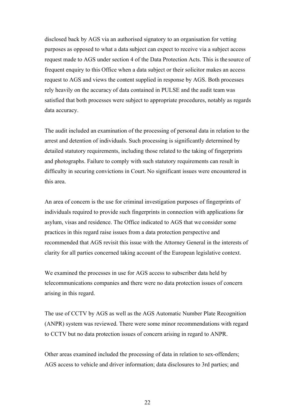disclosed back by AGS via an authorised signatory to an organisation for vetting purposes as opposed to what a data subject can expect to receive via a subject access request made to AGS under section 4 of the Data Protection Acts. This is the source of frequent enquiry to this Office when a data subject or their solicitor makes an access request to AGS and views the content supplied in response by AGS. Both processes rely heavily on the accuracy of data contained in PULSE and the audit team was satisfied that both processes were subject to appropriate procedures, notably as regards data accuracy.

The audit included an examination of the processing of personal data in relation to the arrest and detention of individuals. Such processing is significantly determined by detailed statutory requirements, including those related to the taking of fingerprints and photographs. Failure to comply with such statutory requirements can result in difficulty in securing convictions in Court. No significant issues were encountered in this area.

An area of concern is the use for criminal investigation purposes of fingerprints of individuals required to provide such fingerprints in connection with applications for asylum, visas and residence. The Office indicated to AGS that we consider some practices in this regard raise issues from a data protection perspective and recommended that AGS revisit this issue with the Attorney General in the interests of clarity for all parties concerned taking account of the European legislative context.

We examined the processes in use for AGS access to subscriber data held by telecommunications companies and there were no data protection issues of concern arising in this regard.

The use of CCTV by AGS as well as the AGS Automatic Number Plate Recognition (ANPR) system was reviewed. There were some minor recommendations with regard to CCTV but no data protection issues of concern arising in regard to ANPR.

Other areas examined included the processing of data in relation to sex-offenders; AGS access to vehicle and driver information; data disclosures to 3rd parties; and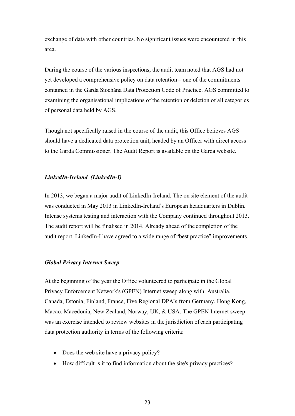exchange of data with other countries. No significant issues were encountered in this area.

During the course of the various inspections, the audit team noted that AGS had not yet developed a comprehensive policy on data retention – one of the commitments contained in the Garda Síochána Data Protection Code of Practice. AGS committed to examining the organisational implications of the retention or deletion of all categories of personal data held by AGS.

Though not specifically raised in the course of the audit, this Office believes AGS should have a dedicated data protection unit, headed by an Officer with direct access to the Garda Commissioner. The Audit Report is available on the Garda website.

# <span id="page-22-1"></span>*LinkedIn-Ireland (LinkedIn-I)*

In 2013, we began a major audit of LinkedIn-Ireland. The on site element of the audit was conducted in May 2013 in LinkedIn-Ireland's European headquarters in Dublin. Intense systems testing and interaction with the Company continued throughout 2013. The audit report will be finalised in 2014. Already ahead of the completion of the audit report, LinkedIn-I have agreed to a wide range of "best practice" improvements.

# <span id="page-22-0"></span>*Global Privacy Internet Sweep*

At the beginning of the year the Office volunteered to participate in the Global Privacy Enforcement Network's (GPEN) Internet sweep along with Australia, Canada, Estonia, Finland, France, Five Regional DPA's from Germany, Hong Kong, Macao, Macedonia, New Zealand, Norway, UK, & USA. The GPEN Internet sweep was an exercise intended to review websites in the jurisdiction of each participating data protection authority in terms of the following criteria:

- Does the web site have a privacy policy?
- How difficult is it to find information about the site's privacy practices?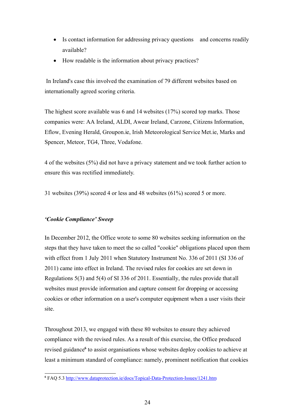- Is contact information for addressing privacy questions and concerns readily available?
- How readable is the information about privacy practices?

 In Ireland's case this involved the examination of 79 different websites based on internationally agreed scoring criteria.

The highest score available was 6 and 14 websites (17%) scored top marks. Those companies were: AA Ireland, ALDI, Awear Ireland, Carzone, Citizens Information, Eflow, Evening Herald, Groupon.ie, Irish Meteorological Service Met.ie, Marks and Spencer, Meteor, TG4, Three, Vodafone.

4 of the websites (5%) did not have a privacy statement and we took further action to ensure this was rectified immediately.

31 websites (39%) scored 4 or less and 48 websites (61%) scored 5 or more.

# <span id="page-23-0"></span>*'Cookie Compliance' Sweep*

In December 2012, the Office wrote to some 80 websites seeking information on the steps that they have taken to meet the so called "cookie" obligations placed upon them with effect from 1 July 2011 when Statutory Instrument No. 336 of 2011 (SI 336 of 2011) came into effect in Ireland. The revised rules for cookies are set down in Regulations 5(3) and 5(4) of SI 336 of 2011. Essentially, the rules provide that all websites must provide information and capture consent for dropping or accessing cookies or other information on a user's computer equipment when a user visits their site.

Throughout 2013, we engaged with these 80 websites to ensure they achieved compliance with the revised rules. As a result of this exercise, the Office produced revised guidance<sup>6</sup> to assist organisations whose websites deploy cookies to achieve at least a minimum standard of compliance: namely, prominent notification that cookies

**<sup>6</sup>** FAQ 5.3<http://www.dataprotection.ie/docs/Topical-Data-Protection-Issues/1241.htm>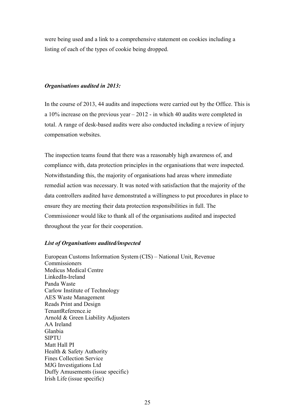were being used and a link to a comprehensive statement on cookies including a listing of each of the types of cookie being dropped.

#### <span id="page-24-0"></span>*Organisations audited in 2013:*

In the course of 2013, 44 audits and inspections were carried out by the Office. This is a 10% increase on the previous year – 2012 - in which 40 audits were completed in total. A range of desk-based audits were also conducted including a review of injury compensation websites.

The inspection teams found that there was a reasonably high awareness of, and compliance with, data protection principles in the organisations that were inspected. Notwithstanding this, the majority of organisations had areas where immediate remedial action was necessary. It was noted with satisfaction that the majority of the data controllers audited have demonstrated a willingness to put procedures in place to ensure they are meeting their data protection responsibilities in full. The Commissioner would like to thank all of the organisations audited and inspected throughout the year for their cooperation.

# *List of Organisations audited/inspected*

European Customs Information System (CIS) – National Unit, Revenue Commissioners Medicus Medical Centre LinkedIn-Ireland Panda Waste Carlow Institute of Technology AES Waste Management Reads Print and Design TenantReference.ie Arnold & Green Liability Adjusters AA Ireland Glanbia SIPTU Matt Hall PI Health & Safety Authority Fines Collection Service MJG Investigations Ltd Duffy Amusements (issue specific) Irish Life (issue specific)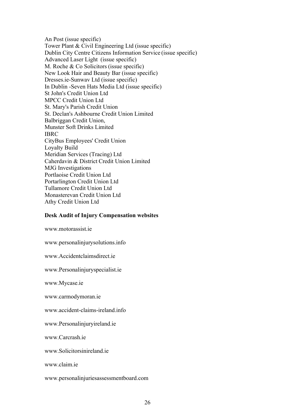An Post (issue specific) Tower Plant & Civil Engineering Ltd (issue specific) Dublin City Centre Citizens Information Service (issue specific) Advanced Laser Light (issue specific) M. Roche & Co Solicitors (issue specific) New Look Hair and Beauty Bar (issue specific) Dresses.ie-Sunwav Ltd (issue specific) In Dublin -Seven Hats Media Ltd (issue specific) St John's Credit Union Ltd MPCC Credit Union Ltd St. Mary's Parish Credit Union St. Declan's Ashbourne Credit Union Limited Balbriggan Credit Union, Munster Soft Drinks Limited IBRC CityBus Employees' Credit Union Loyalty Build Meridian Services (Tracing) Ltd Caherdavin & District Credit Union Limited MJG Investigations Portlaoise Credit Union Ltd Portarlington Credit Union Ltd Tullamore Credit Union Ltd Monasterevan Credit Union Ltd Athy Credit Union Ltd

#### **Desk Audit of Injury Compensation websites**

www.motorassist.ie

www.personalinjurysolutions.info

www.Accidentclaimsdirect.ie

www.Personalinjuryspecialist.ie

www.Mycase.ie

www.carmodymoran.ie

www.accident-claims-ireland.info

www.Personalinjuryireland.ie

www.Carcrash.ie

www.Solicitorsinireland.ie

www.claim.ie

www.personalinjuriesassessmentboard.com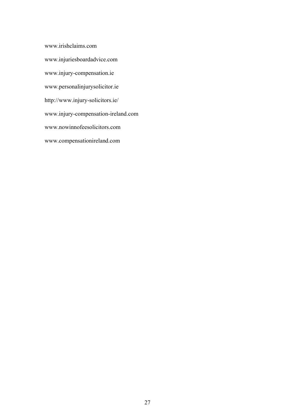www.irishclaims.com www.injuriesboardadvice.com www.injury-compensation.ie www.personalinjurysolicitor.ie http://www.injury-solicitors.ie/ www.injury-compensation-ireland.com www.nowinnofeesolicitors.com www.compensationireland.com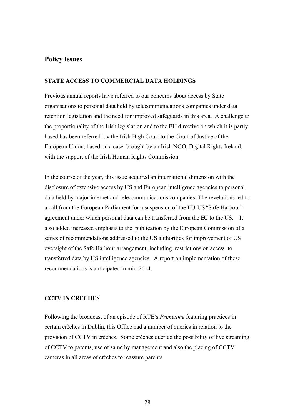# <span id="page-27-2"></span>**Policy Issues**

# <span id="page-27-1"></span>**STATE ACCESS TO COMMERCIAL DATA HOLDINGS**

Previous annual reports have referred to our concerns about access by State organisations to personal data held by telecommunications companies under data retention legislation and the need for improved safeguards in this area. A challenge to the proportionality of the Irish legislation and to the EU directive on which it is partly based has been referred by the Irish High Court to the Court of Justice of the European Union, based on a case brought by an Irish NGO, Digital Rights Ireland, with the support of the Irish Human Rights Commission.

In the course of the year, this issue acquired an international dimension with the disclosure of extensive access by US and European intelligence agencies to personal data held by major internet and telecommunications companies. The revelations led to a call from the European Parliament for a suspension of the EU-US "Safe Harbour" agreement under which personal data can be transferred from the EU to the US. It also added increased emphasis to the publication by the European Commission of a series of recommendations addressed to the US authorities for improvement of US oversight of the Safe Harbour arrangement, including restrictions on access to transferred data by US intelligence agencies. A report on implementation of these recommendations is anticipated in mid-2014.

# <span id="page-27-0"></span>**CCTV IN CRECHES**

Following the broadcast of an episode of RTE's *Primetime* featuring practices in certain crèches in Dublin, this Office had a number of queries in relation to the provision of CCTV in crèches. Some crèches queried the possibility of live streaming of CCTV to parents, use of same by management and also the placing of CCTV cameras in all areas of crèches to reassure parents.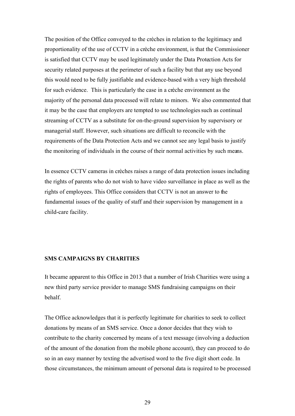The position of the Office conveyed to the crèches in relation to the legitimacy and proportionality of the use of CCTV in a crèche environment, is that the Commissioner is satisfied that CCTV may be used legitimately under the Data Protection Acts for security related purposes at the perimeter of such a facility but that any use beyond this would need to be fully justifiable and evidence-based with a very high threshold for such evidence. This is particularly the case in a crèche environment as the majority of the personal data processed will relate to minors. We also commented that it may be the case that employers are tempted to use technologies such as continual streaming of CCTV as a substitute for on-the-ground supervision by supervisory or managerial staff. However, such situations are difficult to reconcile with the requirements of the Data Protection Acts and we cannot see any legal basis to justify the monitoring of individuals in the course of their normal activities by such means.

In essence CCTV cameras in crèches raises a range of data protection issues including the rights of parents who do not wish to have video surveillance in place as well as the rights of employees. This Office considers that CCTV is not an answer to the fundamental issues of the quality of staff and their supervision by management in a child-care facility.

# <span id="page-28-0"></span>**SMS CAMPAIGNS BY CHARITIES**

It became apparent to this Office in 2013 that a number of Irish Charities were using a new third party service provider to manage SMS fundraising campaigns on their behalf.

The Office acknowledges that it is perfectly legitimate for charities to seek to collect donations by means of an SMS service. Once a donor decides that they wish to contribute to the charity concerned by means of a text message (involving a deduction of the amount of the donation from the mobile phone account), they can proceed to do so in an easy manner by texting the advertised word to the five digit short code. In those circumstances, the minimum amount of personal data is required to be processed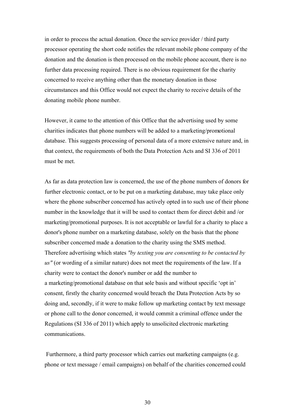in order to process the actual donation. Once the service provider / third party processor operating the short code notifies the relevant mobile phone company of the donation and the donation is then processed on the mobile phone account, there is no further data processing required. There is no obvious requirement for the charity concerned to receive anything other than the monetary donation in those circumstances and this Office would not expect the charity to receive details of the donating mobile phone number.

However, it came to the attention of this Office that the advertising used by some charities indicates that phone numbers will be added to a marketing/promotional database. This suggests processing of personal data of a more extensive nature and, in that context, the requirements of both the Data Protection Acts and SI 336 of 2011 must be met.

As far as data protection law is concerned, the use of the phone numbers of donors for further electronic contact, or to be put on a marketing database, may take place only where the phone subscriber concerned has actively opted in to such use of their phone number in the knowledge that it will be used to contact them for direct debit and /or marketing/promotional purposes. It is not acceptable or lawful for a charity to place a donor's phone number on a marketing database, solely on the basis that the phone subscriber concerned made a donation to the charity using the SMS method. Therefore advertising which states *"by texting you are consenting to be contacted by us"* (or wording of a similar nature) does not meet the requirements of the law. If a charity were to contact the donor's number or add the number to a marketing/promotional database on that sole basis and without specific 'opt in' consent, firstly the charity concerned would breach the Data Protection Acts by so doing and, secondly, if it were to make follow up marketing contact by text message or phone call to the donor concerned, it would commit a criminal offence under the Regulations (SI 336 of 2011) which apply to unsolicited electronic marketing communications.

 Furthermore, a third party processor which carries out marketing campaigns (e.g. phone or text message / email campaigns) on behalf of the charities concerned could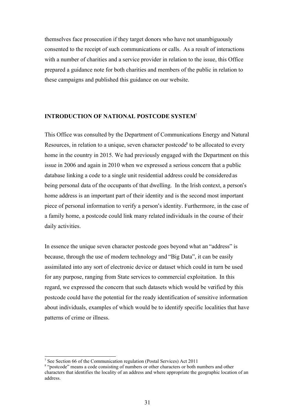themselves face prosecution if they target donors who have not unambiguously consented to the receipt of such communications or calls. As a result of interactions with a number of charities and a service provider in relation to the issue, this Office prepared a guidance note for both charities and members of the public in relation to these campaigns and published this guidance on our website.

# <span id="page-30-0"></span>**INTRODUCTION OF NATIONAL POSTCODE SYSTEM**<sup>7</sup>

This Office was consulted by the Department of Communications Energy and Natural Resources, in relation to a unique, seven character postcode<sup>8</sup> to be allocated to every home in the country in 2015. We had previously engaged with the Department on this issue in 2006 and again in 2010 when we expressed a serious concern that a public database linking a code to a single unit residential address could be considered as being personal data of the occupants of that dwelling. In the Irish context, a person's home address is an important part of their identity and is the second most important piece of personal information to verify a person's identity. Furthermore, in the case of a family home, a postcode could link many related individuals in the course of their daily activities.

In essence the unique seven character postcode goes beyond what an "address" is because, through the use of modern technology and "Big Data", it can be easily assimilated into any sort of electronic device or dataset which could in turn be used for any purpose, ranging from State services to commercial exploitation. In this regard, we expressed the concern that such datasets which would be verified by this postcode could have the potential for the ready identification of sensitive information about individuals, examples of which would be to identify specific localities that have patterns of crime or illness.

<sup>&</sup>lt;sup>7</sup> See Section 66 of the Communication regulation (Postal Services) Act 2011

<sup>&</sup>lt;sup>8</sup> "postcode" means a code consisting of numbers or other characters or both numbers and other characters that identifies the locality of an address and where appropriate the geographic location of an address.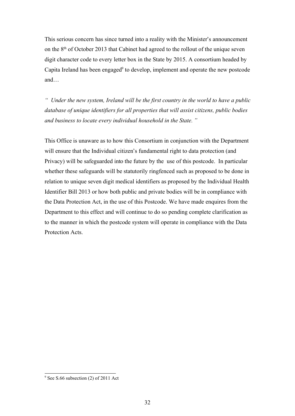This serious concern has since turned into a reality with the Minister's announcement on the 8<sup>th</sup> of October 2013 that Cabinet had agreed to the rollout of the unique seven digit character code to every letter box in the State by 2015. A consortium headed by Capita Ireland has been engaged $9$  to develop, implement and operate the new postcode and…

*" Under the new system, Ireland will be the first country in the world to have a public database of unique identifiers for all properties that will assist citizens, public bodies and business to locate every individual household in the State. "* 

This Office is unaware as to how this Consortium in conjunction with the Department will ensure that the Individual citizen's fundamental right to data protection (and Privacy) will be safeguarded into the future by the use of this postcode. In particular whether these safeguards will be statutorily ringfenced such as proposed to be done in relation to unique seven digit medical identifiers as proposed by the Individual Health Identifier Bill 2013 or how both public and private bodies will be in compliance with the Data Protection Act, in the use of this Postcode. We have made enquires from the Department to this effect and will continue to do so pending complete clarification as to the manner in which the postcode system will operate in compliance with the Data Protection Acts.

<sup>&</sup>lt;sup>9</sup> See S.66 subsection (2) of 2011 Act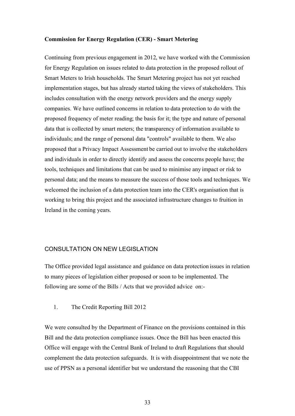#### <span id="page-32-1"></span>**Commission for Energy Regulation (CER) - Smart Metering**

Continuing from previous engagement in 2012, we have worked with the Commission for Energy Regulation on issues related to data protection in the proposed rollout of Smart Meters to Irish households. The Smart Metering project has not yet reached implementation stages, but has already started taking the views of stakeholders. This includes consultation with the energy network providers and the energy supply companies. We have outlined concerns in relation to data protection to do with the proposed frequency of meter reading; the basis for it; the type and nature of personal data that is collected by smart meters; the transparency of information available to individuals; and the range of personal data "controls" available to them. We also proposed that a Privacy Impact Assessment be carried out to involve the stakeholders and individuals in order to directly identify and assess the concerns people have; the tools, techniques and limitations that can be used to minimise any impact or risk to personal data; and the means to measure the success of those tools and techniques. We welcomed the inclusion of a data protection team into the CER's organisation that is working to bring this project and the associated infrastructure changes to fruition in Ireland in the coming years.

# <span id="page-32-0"></span>CONSULTATION ON NEW LEGISLATION

The Office provided legal assistance and guidance on data protection issues in relation to many pieces of legislation either proposed or soon to be implemented. The following are some of the Bills / Acts that we provided advice on:-

# 1. The Credit Reporting Bill 2012

We were consulted by the Department of Finance on the provisions contained in this Bill and the data protection compliance issues. Once the Bill has been enacted this Office will engage with the Central Bank of Ireland to draft Regulations that should complement the data protection safeguards. It is with disappointment that we note the use of PPSN as a personal identifier but we understand the reasoning that the CBI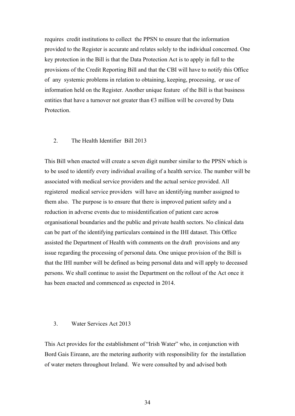requires credit institutions to collect the PPSN to ensure that the information provided to the Register is accurate and relates solely to the individual concerned. One key protection in the Bill is that the Data Protection Act is to apply in full to the provisions of the Credit Reporting Bill and that the CBI will have to notify this Office of any systemic problems in relation to obtaining, keeping, processing, or use of information held on the Register. Another unique feature of the Bill is that business entities that have a turnover not greater than  $\epsilon$ 3 million will be covered by Data **Protection** 

# 2. The Health Identifier Bill 2013

This Bill when enacted will create a seven digit number similar to the PPSN which is to be used to identify every individual availing of a health service. The number will be associated with medical service providers and the actual service provided. All registered medical service providers will have an identifying number assigned to them also. The purpose is to ensure that there is improved patient safety and a reduction in adverse events due to misidentification of patient care across organisational boundaries and the public and private health sectors. No clinical data can be part of the identifying particulars contained in the IHI dataset. This Office assisted the Department of Health with comments on the draft provisions and any issue regarding the processing of personal data. One unique provision of the Bill is that the IHI number will be defined as being personal data and will apply to deceased persons. We shall continue to assist the Department on the rollout of the Act once it has been enacted and commenced as expected in 2014.

# 3. Water Services Act 2013

This Act provides for the establishment of "Irish Water" who, in conjunction with Bord Gais Eireann, are the metering authority with responsibility for the installation of water meters throughout Ireland. We were consulted by and advised both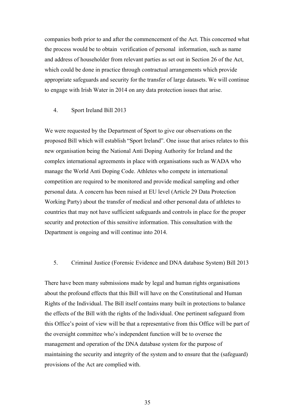companies both prior to and after the commencement of the Act. This concerned what the process would be to obtain verification of personal information, such as name and address of householder from relevant parties as set out in Section 26 of the Act, which could be done in practice through contractual arrangements which provide appropriate safeguards and security for the transfer of large datasets. We will continue to engage with Irish Water in 2014 on any data protection issues that arise.

#### 4. Sport Ireland Bill 2013

We were requested by the Department of Sport to give our observations on the proposed Bill which will establish "Sport Ireland". One issue that arises relates to this new organisation being the National Anti Doping Authority for Ireland and the complex international agreements in place with organisations such as WADA who manage the World Anti Doping Code. Athletes who compete in international competition are required to be monitored and provide medical sampling and other personal data. A concern has been raised at EU level (Article 29 Data Protection Working Party) about the transfer of medical and other personal data of athletes to countries that may not have sufficient safeguards and controls in place for the proper security and protection of this sensitive information. This consultation with the Department is ongoing and will continue into 2014.

#### 5. Criminal Justice (Forensic Evidence and DNA database System) Bill 2013

There have been many submissions made by legal and human rights organisations about the profound effects that this Bill will have on the Constitutional and Human Rights of the Individual. The Bill itself contains many built in protections to balance the effects of the Bill with the rights of the Individual. One pertinent safeguard from this Office's point of view will be that a representative from this Office will be part of the oversight committee who's independent function will be to oversee the management and operation of the DNA database system for the purpose of maintaining the security and integrity of the system and to ensure that the (safeguard) provisions of the Act are complied with.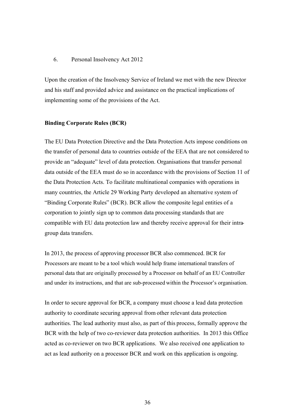#### 6. Personal Insolvency Act 2012

Upon the creation of the Insolvency Service of Ireland we met with the new Director and his staff and provided advice and assistance on the practical implications of implementing some of the provisions of the Act.

# <span id="page-35-0"></span>**Binding Corporate Rules (BCR)**

The EU Data Protection Directive and the Data Protection Acts impose conditions on the transfer of personal data to countries outside of the EEA that are not considered to provide an "adequate" level of data protection. Organisations that transfer personal data outside of the EEA must do so in accordance with the provisions of Section 11 of the Data Protection Acts. To facilitate multinational companies with operations in many countries, the Article 29 Working Party developed an alternative system of "Binding Corporate Rules" (BCR). BCR allow the composite legal entities of a corporation to jointly sign up to common data processing standards that are compatible with EU data protection law and thereby receive approval for their intragroup data transfers.

In 2013, the process of approving processor BCR also commenced. BCR for Processors are meant to be a tool which would help frame international transfers of personal data that are originally processed by a Processor on behalf of an EU Controller and under its instructions, and that are sub-processed within the Processor's organisation.

In order to secure approval for BCR, a company must choose a lead data protection authority to coordinate securing approval from other relevant data protection authorities. The lead authority must also, as part of this process, formally approve the BCR with the help of two co-reviewer data protection authorities. In 2013 this Office acted as co-reviewer on two BCR applications. We also received one application to act as lead authority on a processor BCR and work on this application is ongoing.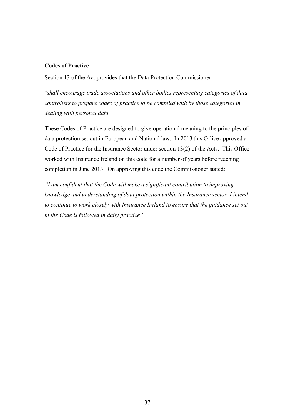## **Codes of Practice**

Section 13 of the Act provides that the Data Protection Commissioner

*"shall encourage trade associations and other bodies representing categories of data controllers to prepare codes of practice to be complied with by those categories in dealing with personal data."*

These Codes of Practice are designed to give operational meaning to the principles of data protection set out in European and National law. In 2013 this Office approved a Code of Practice for the Insurance Sector under section 13(2) of the Acts. This Office worked with Insurance Ireland on this code for a number of years before reaching completion in June 2013. On approving this code the Commissioner stated:

*"I am confident that the Code will make a significant contribution to improving knowledge and understanding of data protection within the Insurance sector. I intend to continue to work closely with Insurance Ireland to ensure that the guidance set out in the Code is followed in daily practice."*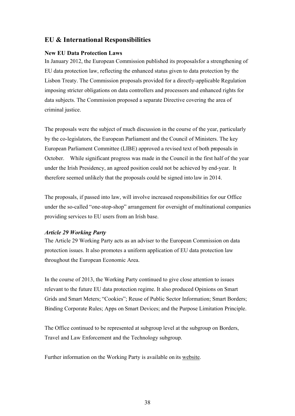# **EU & International Responsibilities**

# **New EU Data Protection Laws**

In January 2012, the European Commission published its proposalsfor a strengthening of EU data protection law, reflecting the enhanced status given to data protection by the Lisbon Treaty. The Commission proposals provided for a directly-applicable Regulation imposing stricter obligations on data controllers and processors and enhanced rights for data subjects. The Commission proposed a separate Directive covering the area of criminal justice.

The proposals were the subject of much discussion in the course of the year, particularly by the co-legislators, the European Parliament and the Council of Ministers. The key European Parliament Committee (LIBE) approved a revised text of both proposals in October. While significant progress was made in the Council in the first half of the year under the Irish Presidency, an agreed position could not be achieved by end-year. It therefore seemed unlikely that the proposals could be signed into law in 2014.

The proposals, if passed into law, will involve increased responsibilities for our Office under the so-called "one-stop-shop" arrangement for oversight of multinational companies providing services to EU users from an Irish base.

# *Article 29 Working Party*

The Article 29 Working Party acts as an adviser to the European Commission on data protection issues. It also promotes a uniform application of EU data protection law throughout the European Economic Area.

In the course of 2013, the Working Party continued to give close attention to issues relevant to the future EU data protection regime. It also produced Opinions on Smart Grids and Smart Meters; "Cookies"; Reuse of Public Sector Information; Smart Borders; Binding Corporate Rules; Apps on Smart Devices; and the Purpose Limitation Principle.

The Office continued to be represented at subgroup level at the subgroup on Borders, Travel and Law Enforcement and the Technology subgroup.

Further information on the Working Party is available on its website.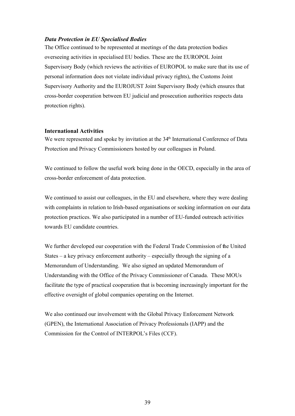# *Data Protection in EU Specialised Bodies*

The Office continued to be represented at meetings of the data protection bodies overseeing activities in specialised EU bodies. These are the EUROPOL Joint Supervisory Body (which reviews the activities of EUROPOL to make sure that its use of personal information does not violate individual privacy rights), the Customs Joint Supervisory Authority and the EUROJUST Joint Supervisory Body (which ensures that cross-border cooperation between EU judicial and prosecution authorities respects data protection rights).

## **International Activities**

We were represented and spoke by invitation at the 34<sup>th</sup> International Conference of Data Protection and Privacy Commissioners hosted by our colleagues in Poland.

We continued to follow the useful work being done in the OECD, especially in the area of cross-border enforcement of data protection.

We continued to assist our colleagues, in the EU and elsewhere, where they were dealing with complaints in relation to Irish-based organisations or seeking information on our data protection practices. We also participated in a number of EU-funded outreach activities towards EU candidate countries.

We further developed our cooperation with the Federal Trade Commission of the United States – a key privacy enforcement authority – especially through the signing of a Memorandum of Understanding. We also signed an updated Memorandum of Understanding with the Office of the Privacy Commissioner of Canada. These MOUs facilitate the type of practical cooperation that is becoming increasingly important for the effective oversight of global companies operating on the Internet.

We also continued our involvement with the Global Privacy Enforcement Network (GPEN), the International Association of Privacy Professionals (IAPP) and the Commission for the Control of INTERPOL's Files (CCF).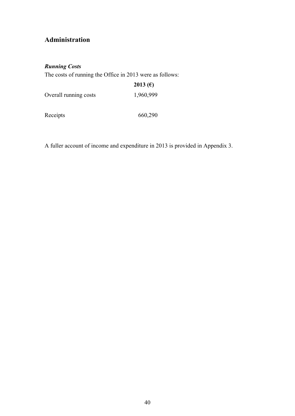# **Administration**

# *Running Costs*

The costs of running the Office in 2013 were as follows:

|                       | 2013 ( $\epsilon$ ) |
|-----------------------|---------------------|
| Overall running costs | 1,960,999           |
|                       |                     |

Receipts 660,290

A fuller account of income and expenditure in 2013 is provided in Appendix 3.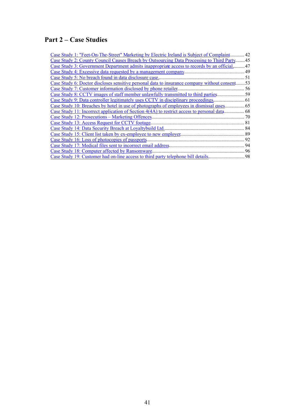# **Part 2 – Case Studies**

| Case Study 1: "Feet-On-The-Street" Marketing by Electric Ireland is Subject of Complaint.     | 42  |
|-----------------------------------------------------------------------------------------------|-----|
| Case Study 2: County Council Causes Breach by Outsourcing Data Processing to Third Party.     | .45 |
| Case Study 3: Government Department admits inappropriate access to records by an official     | 47  |
|                                                                                               |     |
| Case Study 5: No breach found in data disclosure case                                         |     |
| Case Study 6: Doctor discloses sensitive personal data to insurance company without consent53 |     |
|                                                                                               |     |
| Case Study 8: CCTV images of staff member unlawfully transmitted to third parties             |     |
| Case Study 9: Data controller legitimately uses CCTV in disciplinary proceedings.             |     |
|                                                                                               |     |
| Case Study 11: Incorrect application of Section 4(4A) to restrict access to personal data     | 68  |
| Case Study 12: Prosecutions – Marketing Offences.                                             |     |
| Case Study 13: Access Request for CCTV footage.                                               |     |
|                                                                                               |     |
|                                                                                               |     |
|                                                                                               | 92  |
|                                                                                               | 94  |
| Case Study 18: Computer affected by Ransomware                                                |     |
| Case Study 19: Customer had on-line access to third party telephone bill details              | 98  |
|                                                                                               |     |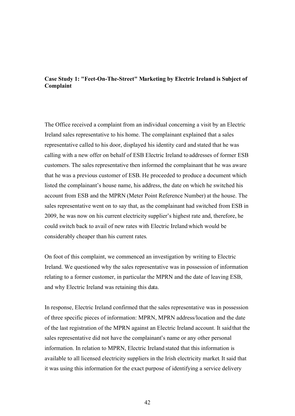# <span id="page-41-0"></span>**Case Study 1: "Feet-On-The-Street" Marketing by Electric Ireland is Subject of Complaint**

The Office received a complaint from an individual concerning a visit by an Electric Ireland sales representative to his home. The complainant explained that a sales representative called to his door, displayed his identity card and stated that he was calling with a new offer on behalf of ESB Electric Ireland to addresses of former ESB customers. The sales representative then informed the complainant that he was aware that he was a previous customer of ESB. He proceeded to produce a document which listed the complainant's house name, his address, the date on which he switched his account from ESB and the MPRN (Meter Point Reference Number) at the house. The sales representative went on to say that, as the complainant had switched from ESB in 2009, he was now on his current electricity supplier's highest rate and, therefore, he could switch back to avail of new rates with Electric Ireland which would be considerably cheaper than his current rates.

On foot of this complaint, we commenced an investigation by writing to Electric Ireland. We questioned why the sales representative was in possession of information relating to a former customer, in particular the MPRN and the date of leaving ESB, and why Electric Ireland was retaining this data.

In response, Electric Ireland confirmed that the sales representative was in possession of three specific pieces of information: MPRN, MPRN address/location and the date of the last registration of the MPRN against an Electric Ireland account. It said that the sales representative did not have the complainant's name or any other personal information. In relation to MPRN, Electric Ireland stated that this information is available to all licensed electricity suppliers in the Irish electricity market. It said that it was using this information for the exact purpose of identifying a service delivery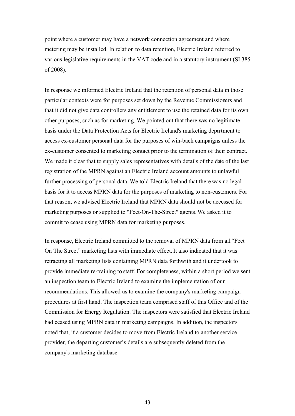point where a customer may have a network connection agreement and where metering may be installed. In relation to data retention, Electric Ireland referred to various legislative requirements in the VAT code and in a statutory instrument (SI 385 of 2008).

In response we informed Electric Ireland that the retention of personal data in those particular contexts were for purposes set down by the Revenue Commissioners and that it did not give data controllers any entitlement to use the retained data for its own other purposes, such as for marketing. We pointed out that there was no legitimate basis under the Data Protection Acts for Electric Ireland's marketing department to access ex-customer personal data for the purposes of win-back campaigns unless the ex-customer consented to marketing contact prior to the termination of their contract. We made it clear that to supply sales representatives with details of the date of the last registration of the MPRN against an Electric Ireland account amounts to unlawful further processing of personal data. We told Electric Ireland that there was no legal basis for it to access MPRN data for the purposes of marketing to non-customers. For that reason, we advised Electric Ireland that MPRN data should not be accessed for marketing purposes or supplied to "Feet-On-The-Street" agents. We asked it to commit to cease using MPRN data for marketing purposes.

In response, Electric Ireland committed to the removal of MPRN data from all "Feet On The Street" marketing lists with immediate effect. It also indicated that it was retracting all marketing lists containing MPRN data forthwith and it undertook to provide immediate re-training to staff. For completeness, within a short period we sent an inspection team to Electric Ireland to examine the implementation of our recommendations. This allowed us to examine the company's marketing campaign procedures at first hand. The inspection team comprised staff of this Office and of the Commission for Energy Regulation. The inspectors were satisfied that Electric Ireland had ceased using MPRN data in marketing campaigns. In addition, the inspectors noted that, if a customer decides to move from Electric Ireland to another service provider, the departing customer's details are subsequently deleted from the company's marketing database.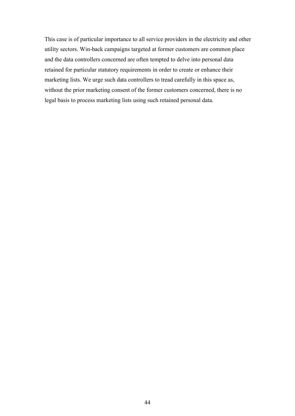This case is of particular importance to all service providers in the electricity and other utility sectors. Win-back campaigns targeted at former customers are common place and the data controllers concerned are often tempted to delve into personal data retained for particular statutory requirements in order to create or enhance their marketing lists. We urge such data controllers to tread carefully in this space as, without the prior marketing consent of the former customers concerned, there is no legal basis to process marketing lists using such retained personal data.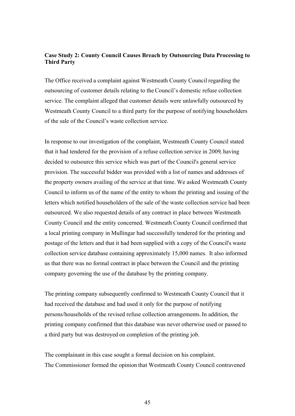# <span id="page-44-0"></span>**Case Study 2: County Council Causes Breach by Outsourcing Data Processing to Third Party**

The Office received a complaint against Westmeath County Council regarding the outsourcing of customer details relating to the Council's domestic refuse collection service. The complaint alleged that customer details were unlawfully outsourced by Westmeath County Council to a third party for the purpose of notifying householders of the sale of the Council's waste collection service.

In response to our investigation of the complaint, Westmeath County Council stated that it had tendered for the provision of a refuse collection service in 2009, having decided to outsource this service which was part of the Council's general service provision. The successful bidder was provided with a list of names and addresses of the property owners availing of the service at that time. We asked Westmeath County Council to inform us of the name of the entity to whom the printing and issuing of the letters which notified householders of the sale of the waste collection service had been outsourced. We also requested details of any contract in place between Westmeath County Council and the entity concerned. Westmeath County Council confirmed that a local printing company in Mullingar had successfully tendered for the printing and postage of the letters and that it had been supplied with a copy of the Council's waste collection service database containing approximately 15,000 names. It also informed us that there was no formal contract in place between the Council and the printing company governing the use of the database by the printing company.

The printing company subsequently confirmed to Westmeath County Council that it had received the database and had used it only for the purpose of notifying persons/households of the revised refuse collection arrangements. In addition, the printing company confirmed that this database was never otherwise used or passed to a third party but was destroyed on completion of the printing job.

The complainant in this case sought a formal decision on his complaint. The Commissioner formed the opinion that Westmeath County Council contravened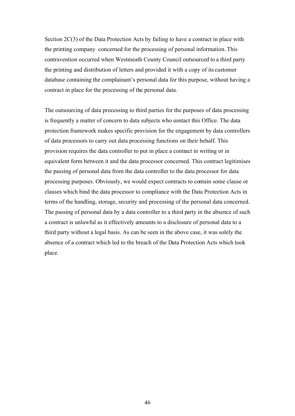Section 2C(3) of the Data Protection Acts by failing to have a contract in place with the printing company concerned for the processing of personal information. This contravention occurred when Westmeath County Council outsourced to a third party the printing and distribution of letters and provided it with a copy of its customer database containing the complainant's personal data for this purpose, without having a contract in place for the processing of the personal data.

The outsourcing of data processing to third parties for the purposes of data processing is frequently a matter of concern to data subjects who contact this Office. The data protection framework makes specific provision for the engagement by data controllers of data processors to carry out data processing functions on their behalf. This provision requires the data controller to put in place a contract in writing or in equivalent form between it and the data processor concerned. This contract legitimises the passing of personal data from the data controller to the data processor for data processing purposes. Obviously, we would expect contracts to contain some clause or clauses which bind the data processor to compliance with the Data Protection Acts in terms of the handling, storage, security and processing of the personal data concerned. The passing of personal data by a data controller to a third party in the absence of such a contract is unlawful as it effectively amounts to a disclosure of personal data to a third party without a legal basis. As can be seen in the above case, it was solely the absence of a contract which led to the breach of the Data Protection Acts which took place.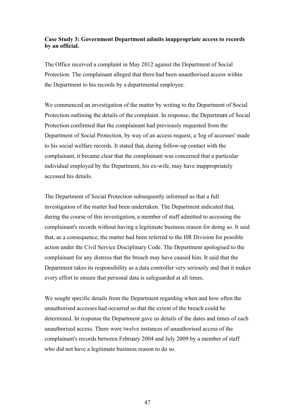# <span id="page-46-0"></span>**Case Study 3: Government Department admits inappropriate access to records by an official.**

The Office received a complaint in May 2012 against the Department of Social Protection. The complainant alleged that there had been unauthorised access within the Department to his records by a departmental employee.

We commenced an investigation of the matter by writing to the Department of Social Protection outlining the details of the complaint. In response, the Department of Social Protection confirmed that the complainant had previously requested from the Department of Social Protection, by way of an access request, a 'log of accesses' made to his social welfare records. It stated that, during follow-up contact with the complainant, it became clear that the complainant was concerned that a particular individual employed by the Department, his ex-wife, may have inappropriately accessed his details.

The Department of Social Protection subsequently informed us that a full investigation of the matter had been undertaken. The Department indicated that, during the course of this investigation, a member of staff admitted to accessing the complainant's records without having a legitimate business reason for doing so. It said that, as a consequence, the matter had been referred to the HR Division for possible action under the Civil Service Disciplinary Code. The Department apologised to the complainant for any distress that the breach may have caused him. It said that the Department takes its responsibility as a data controller very seriously and that it makes every effort to ensure that personal data is safeguarded at all times.

We sought specific details from the Department regarding when and how often the unauthorised accesses had occurred so that the extent of the breach could be determined. In response the Department gave us details of the dates and times of each unauthorised access. There were twelve instances of unauthorised access of the complainant's records between February 2004 and July 2009 by a member of staff who did not have a legitimate business reason to do so.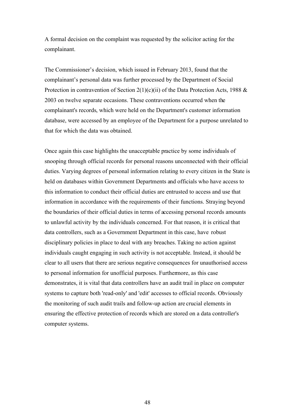A formal decision on the complaint was requested by the solicitor acting for the complainant.

The Commissioner's decision, which issued in February 2013, found that the complainant's personal data was further processed by the Department of Social Protection in contravention of Section 2(1)(c)(ii) of the Data Protection Acts, 1988  $\&$ 2003 on twelve separate occasions. These contraventions occurred when the complainant's records, which were held on the Department's customer information database, were accessed by an employee of the Department for a purpose unrelated to that for which the data was obtained.

Once again this case highlights the unacceptable practice by some individuals of snooping through official records for personal reasons unconnected with their official duties. Varying degrees of personal information relating to every citizen in the State is held on databases within Government Departments and officials who have access to this information to conduct their official duties are entrusted to access and use that information in accordance with the requirements of their functions. Straying beyond the boundaries of their official duties in terms of accessing personal records amounts to unlawful activity by the individuals concerned. For that reason, it is critical that data controllers, such as a Government Department in this case, have robust disciplinary policies in place to deal with any breaches. Taking no action against individuals caught engaging in such activity is not acceptable. Instead, it should be clear to all users that there are serious negative consequences for unauthorised access to personal information for unofficial purposes. Furthermore, as this case demonstrates, it is vital that data controllers have an audit trail in place on computer systems to capture both 'read-only' and 'edit' accesses to official records. Obviously the monitoring of such audit trails and follow-up action are crucial elements in ensuring the effective protection of records which are stored on a data controller's computer systems.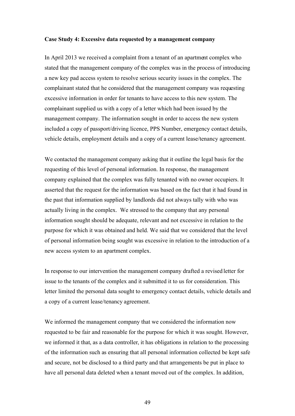#### <span id="page-48-0"></span>**Case Study 4: Excessive data requested by a management company**

In April 2013 we received a complaint from a tenant of an apartment complex who stated that the management company of the complex was in the process of introducing a new key pad access system to resolve serious security issues in the complex. The complainant stated that he considered that the management company was requesting excessive information in order for tenants to have access to this new system. The complainant supplied us with a copy of a letter which had been issued by the management company. The information sought in order to access the new system included a copy of passport/driving licence, PPS Number, emergency contact details, vehicle details, employment details and a copy of a current lease/tenancy agreement.

We contacted the management company asking that it outline the legal basis for the requesting of this level of personal information. In response, the management company explained that the complex was fully tenanted with no owner occupiers. It asserted that the request for the information was based on the fact that it had found in the past that information supplied by landlords did not always tally with who was actually living in the complex. We stressed to the company that any personal information sought should be adequate, relevant and not excessive in relation to the purpose for which it was obtained and held. We said that we considered that the level of personal information being sought was excessive in relation to the introduction of a new access system to an apartment complex.

In response to our intervention the management company drafted a revised letter for issue to the tenants of the complex and it submitted it to us for consideration. This letter limited the personal data sought to emergency contact details, vehicle details and a copy of a current lease/tenancy agreement.

We informed the management company that we considered the information now requested to be fair and reasonable for the purpose for which it was sought. However, we informed it that, as a data controller, it has obligations in relation to the processing of the information such as ensuring that all personal information collected be kept safe and secure, not be disclosed to a third party and that arrangements be put in place to have all personal data deleted when a tenant moved out of the complex. In addition,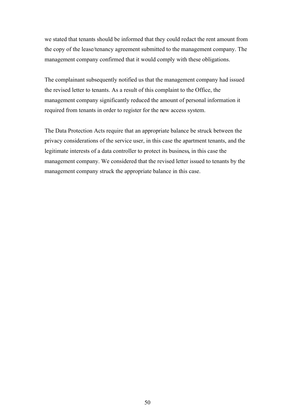we stated that tenants should be informed that they could redact the rent amount from the copy of the lease/tenancy agreement submitted to the management company. The management company confirmed that it would comply with these obligations.

The complainant subsequently notified us that the management company had issued the revised letter to tenants. As a result of this complaint to the Office, the management company significantly reduced the amount of personal information it required from tenants in order to register for the new access system.

The Data Protection Acts require that an appropriate balance be struck between the privacy considerations of the service user, in this case the apartment tenants, and the legitimate interests of a data controller to protect its business, in this case the management company. We considered that the revised letter issued to tenants by the management company struck the appropriate balance in this case.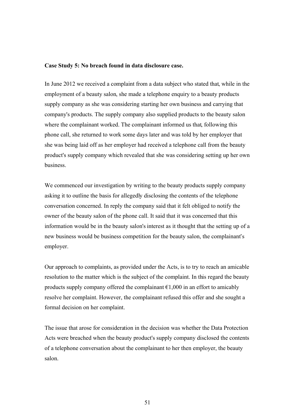#### <span id="page-50-0"></span>**Case Study 5: No breach found in data disclosure case.**

In June 2012 we received a complaint from a data subject who stated that, while in the employment of a beauty salon, she made a telephone enquiry to a beauty products supply company as she was considering starting her own business and carrying that company's products. The supply company also supplied products to the beauty salon where the complainant worked. The complainant informed us that, following this phone call, she returned to work some days later and was told by her employer that she was being laid off as her employer had received a telephone call from the beauty product's supply company which revealed that she was considering setting up her own business.

We commenced our investigation by writing to the beauty products supply company asking it to outline the basis for allegedly disclosing the contents of the telephone conversation concerned. In reply the company said that it felt obliged to notify the owner of the beauty salon of the phone call. It said that it was concerned that this information would be in the beauty salon's interest as it thought that the setting up of a new business would be business competition for the beauty salon, the complainant's employer.

Our approach to complaints, as provided under the Acts, is to try to reach an amicable resolution to the matter which is the subject of the complaint. In this regard the beauty products supply company offered the complainant  $\epsilon$ 1,000 in an effort to amicably resolve her complaint. However, the complainant refused this offer and she sought a formal decision on her complaint.

The issue that arose for consideration in the decision was whether the Data Protection Acts were breached when the beauty product's supply company disclosed the contents of a telephone conversation about the complainant to her then employer, the beauty salon.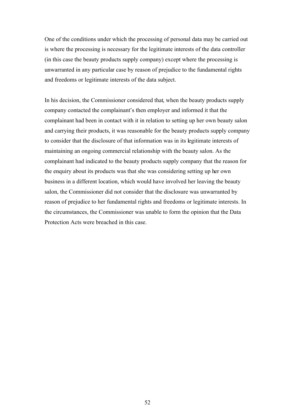One of the conditions under which the processing of personal data may be carried out is where the processing is necessary for the legitimate interests of the data controller (in this case the beauty products supply company) except where the processing is unwarranted in any particular case by reason of prejudice to the fundamental rights and freedoms or legitimate interests of the data subject.

In his decision, the Commissioner considered that, when the beauty products supply company contacted the complainant's then employer and informed it that the complainant had been in contact with it in relation to setting up her own beauty salon and carrying their products, it was reasonable for the beauty products supply company to consider that the disclosure of that information was in its legitimate interests of maintaining an ongoing commercial relationship with the beauty salon. As the complainant had indicated to the beauty products supply company that the reason for the enquiry about its products was that she was considering setting up her own business in a different location, which would have involved her leaving the beauty salon, the Commissioner did not consider that the disclosure was unwarranted by reason of prejudice to her fundamental rights and freedoms or legitimate interests. In the circumstances, the Commissioner was unable to form the opinion that the Data Protection Acts were breached in this case.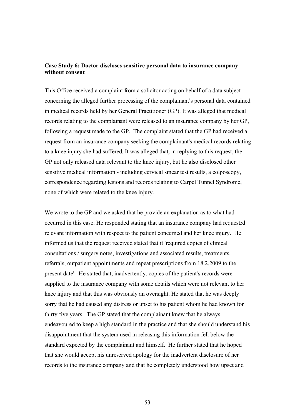# <span id="page-52-0"></span>**Case Study 6: Doctor discloses sensitive personal data to insurance company without consent**

This Office received a complaint from a solicitor acting on behalf of a data subject concerning the alleged further processing of the complainant's personal data contained in medical records held by her General Practitioner (GP). It was alleged that medical records relating to the complainant were released to an insurance company by her GP, following a request made to the GP. The complaint stated that the GP had received a request from an insurance company seeking the complainant's medical records relating to a knee injury she had suffered. It was alleged that, in replying to this request, the GP not only released data relevant to the knee injury, but he also disclosed other sensitive medical information - including cervical smear test results, a colposcopy, correspondence regarding lesions and records relating to Carpel Tunnel Syndrome, none of which were related to the knee injury.

We wrote to the GP and we asked that he provide an explanation as to what had occurred in this case. He responded stating that an insurance company had requested relevant information with respect to the patient concerned and her knee injury. He informed us that the request received stated that it 'required copies of clinical consultations / surgery notes, investigations and associated results, treatments, referrals, outpatient appointments and repeat prescriptions from 18.2.2009 to the present date'. He stated that, inadvertently, copies of the patient's records were supplied to the insurance company with some details which were not relevant to her knee injury and that this was obviously an oversight. He stated that he was deeply sorry that he had caused any distress or upset to his patient whom he had known for thirty five years. The GP stated that the complainant knew that he always endeavoured to keep a high standard in the practice and that she should understand his disappointment that the system used in releasing this information fell below the standard expected by the complainant and himself. He further stated that he hoped that she would accept his unreserved apology for the inadvertent disclosure of her records to the insurance company and that he completely understood how upset and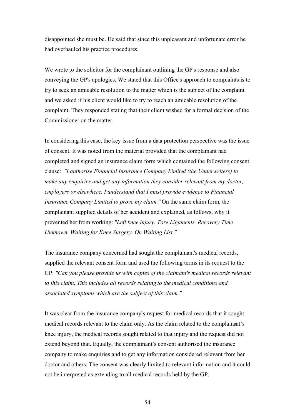disappointed she must be. He said that since this unpleasant and unfortunate error he had overhauled his practice procedures.

We wrote to the solicitor for the complainant outlining the GP's response and also conveying the GP's apologies. We stated that this Office's approach to complaints is to try to seek an amicable resolution to the matter which is the subject of the complaint and we asked if his client would like to try to reach an amicable resolution of the complaint. They responded stating that their client wished for a formal decision of the Commissioner on the matter.

In considering this case, the key issue from a data protection perspective was the issue of consent. It was noted from the material provided that the complainant had completed and signed an insurance claim form which contained the following consent clause: *"I authorise Financial Insurance Company Limited (the Underwriters) to make any enquiries and get any information they consider relevant from my doctor, employers or elsewhere. I understand that I must provide evidence to Financial Insurance Company Limited to prove my claim."* On the same claim form, the complainant supplied details of her accident and explained, as follows, why it prevented her from working: *"Left knee injury. Tore Ligaments. Recovery Time Unknown. Waiting for Knee Surgery. On Waiting List."*

The insurance company concerned had sought the complainant's medical records, supplied the relevant consent form and used the following terms in its request to the GP: *"Can you please provide us with copies of the claimant's medical records relevant to this claim. This includes all records relating to the medical conditions and associated symptoms which are the subject of this claim."*

It was clear from the insurance company's request for medical records that it sought medical records relevant to the claim only. As the claim related to the complainant's knee injury, the medical records sought related to that injury and the request did not extend beyond that. Equally, the complainant's consent authorised the insurance company to make enquiries and to get any information considered relevant from her doctor and others. The consent was clearly limited to relevant information and it could not be interpreted as extending to all medical records held by the GP.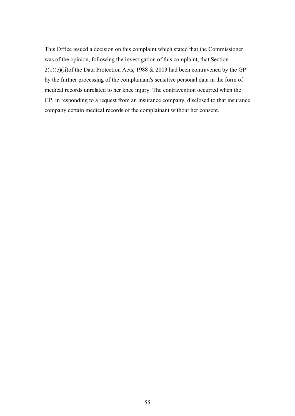This Office issued a decision on this complaint which stated that the Commissioner was of the opinion, following the investigation of this complaint, that Section  $2(1)(c)(ii)$ of the Data Protection Acts, 1988 & 2003 had been contravened by the GP by the further processing of the complainant's sensitive personal data in the form of medical records unrelated to her knee injury. The contravention occurred when the GP, in responding to a request from an insurance company, disclosed to that insurance company certain medical records of the complainant without her consent.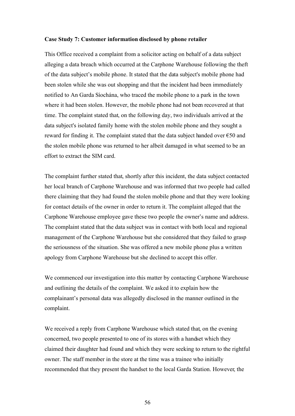#### <span id="page-55-0"></span>**Case Study 7: Customer information disclosed by phone retailer**

This Office received a complaint from a solicitor acting on behalf of a data subject alleging a data breach which occurred at the Carphone Warehouse following the theft of the data subject's mobile phone. It stated that the data subject's mobile phone had been stolen while she was out shopping and that the incident had been immediately notified to An Garda Síochána, who traced the mobile phone to a park in the town where it had been stolen. However, the mobile phone had not been recovered at that time. The complaint stated that, on the following day, two individuals arrived at the data subject's isolated family home with the stolen mobile phone and they sought a reward for finding it. The complaint stated that the data subject handed over €50 and the stolen mobile phone was returned to her albeit damaged in what seemed to be an effort to extract the SIM card.

The complaint further stated that, shortly after this incident, the data subject contacted her local branch of Carphone Warehouse and was informed that two people had called there claiming that they had found the stolen mobile phone and that they were looking for contact details of the owner in order to return it. The complaint alleged that the Carphone Warehouse employee gave these two people the owner's name and address. The complaint stated that the data subject was in contact with both local and regional management of the Carphone Warehouse but she considered that they failed to grasp the seriousness of the situation. She was offered a new mobile phone plus a written apology from Carphone Warehouse but she declined to accept this offer.

We commenced our investigation into this matter by contacting Carphone Warehouse and outlining the details of the complaint. We asked it to explain how the complainant's personal data was allegedly disclosed in the manner outlined in the complaint.

We received a reply from Carphone Warehouse which stated that, on the evening concerned, two people presented to one of its stores with a handset which they claimed their daughter had found and which they were seeking to return to the rightful owner. The staff member in the store at the time was a trainee who initially recommended that they present the handset to the local Garda Station. However, the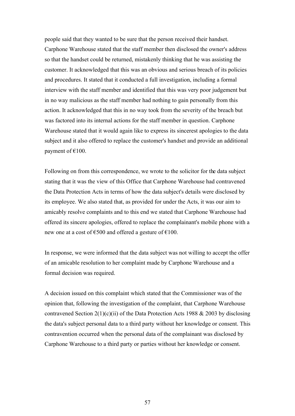people said that they wanted to be sure that the person received their handset. Carphone Warehouse stated that the staff member then disclosed the owner's address so that the handset could be returned, mistakenly thinking that he was assisting the customer. It acknowledged that this was an obvious and serious breach of its policies and procedures. It stated that it conducted a full investigation, including a formal interview with the staff member and identified that this was very poor judgement but in no way malicious as the staff member had nothing to gain personally from this action. It acknowledged that this in no way took from the severity of the breach but was factored into its internal actions for the staff member in question. Carphone Warehouse stated that it would again like to express its sincerest apologies to the data subject and it also offered to replace the customer's handset and provide an additional payment of  $€100$ .

Following on from this correspondence, we wrote to the solicitor for the data subject stating that it was the view of this Office that Carphone Warehouse had contravened the Data Protection Acts in terms of how the data subject's details were disclosed by its employee. We also stated that, as provided for under the Acts, it was our aim to amicably resolve complaints and to this end we stated that Carphone Warehouse had offered its sincere apologies, offered to replace the complainant's mobile phone with a new one at a cost of  $\epsilon$ 500 and offered a gesture of  $\epsilon$ 100.

In response, we were informed that the data subject was not willing to accept the offer of an amicable resolution to her complaint made by Carphone Warehouse and a formal decision was required.

A decision issued on this complaint which stated that the Commissioner was of the opinion that, following the investigation of the complaint, that Carphone Warehouse contravened Section 2(1)(c)(ii) of the Data Protection Acts 1988  $& 2003$  by disclosing the data's subject personal data to a third party without her knowledge or consent. This contravention occurred when the personal data of the complainant was disclosed by Carphone Warehouse to a third party or parties without her knowledge or consent.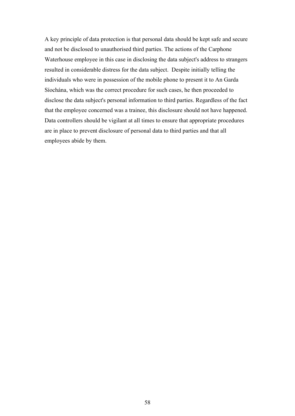A key principle of data protection is that personal data should be kept safe and secure and not be disclosed to unauthorised third parties. The actions of the Carphone Waterhouse employee in this case in disclosing the data subject's address to strangers resulted in considerable distress for the data subject. Despite initially telling the individuals who were in possession of the mobile phone to present it to An Garda Síochána, which was the correct procedure for such cases, he then proceeded to disclose the data subject's personal information to third parties. Regardless of the fact that the employee concerned was a trainee, this disclosure should not have happened. Data controllers should be vigilant at all times to ensure that appropriate procedures are in place to prevent disclosure of personal data to third parties and that all employees abide by them.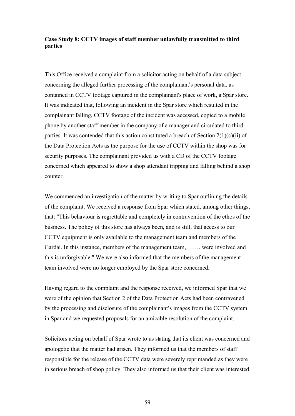# <span id="page-58-0"></span>**Case Study 8: CCTV images of staff member unlawfully transmitted to third parties**

This Office received a complaint from a solicitor acting on behalf of a data subject concerning the alleged further processing of the complainant's personal data, as contained in CCTV footage captured in the complainant's place of work, a Spar store. It was indicated that, following an incident in the Spar store which resulted in the complainant falling, CCTV footage of the incident was accessed, copied to a mobile phone by another staff member in the company of a manager and circulated to third parties. It was contended that this action constituted a breach of Section  $2(1)(c)(ii)$  of the Data Protection Acts as the purpose for the use of CCTV within the shop was for security purposes. The complainant provided us with a CD of the CCTV footage concerned which appeared to show a shop attendant tripping and falling behind a shop counter.

We commenced an investigation of the matter by writing to Spar outlining the details of the complaint. We received a response from Spar which stated, among other things, that: "This behaviour is regrettable and completely in contravention of the ethos of the business. The policy of this store has always been, and is still, that access to our CCTV equipment is only available to the management team and members of the Gardaí. In this instance, members of the management team, ……. were involved and this is unforgivable." We were also informed that the members of the management team involved were no longer employed by the Spar store concerned.

Having regard to the complaint and the response received, we informed Spar that we were of the opinion that Section 2 of the Data Protection Acts had been contravened by the processing and disclosure of the complainant's images from the CCTV system in Spar and we requested proposals for an amicable resolution of the complaint.

Solicitors acting on behalf of Spar wrote to us stating that its client was concerned and apologetic that the matter had arisen. They informed us that the members of staff responsible for the release of the CCTV data were severely reprimanded as they were in serious breach of shop policy. They also informed us that their client was interested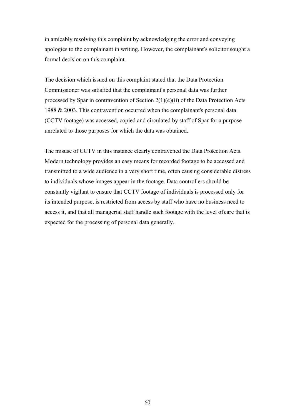in amicably resolving this complaint by acknowledging the error and conveying apologies to the complainant in writing. However, the complainant's solicitor sought a formal decision on this complaint.

The decision which issued on this complaint stated that the Data Protection Commissioner was satisfied that the complainant's personal data was further processed by Spar in contravention of Section 2(1)(c)(ii) of the Data Protection Acts 1988 & 2003. This contravention occurred when the complainant's personal data (CCTV footage) was accessed, copied and circulated by staff of Spar for a purpose unrelated to those purposes for which the data was obtained.

The misuse of CCTV in this instance clearly contravened the Data Protection Acts. Modern technology provides an easy means for recorded footage to be accessed and transmitted to a wide audience in a very short time, often causing considerable distress to individuals whose images appear in the footage. Data controllers should be constantly vigilant to ensure that CCTV footage of individuals is processed only for its intended purpose, is restricted from access by staff who have no business need to access it, and that all managerial staff handle such footage with the level of care that is expected for the processing of personal data generally.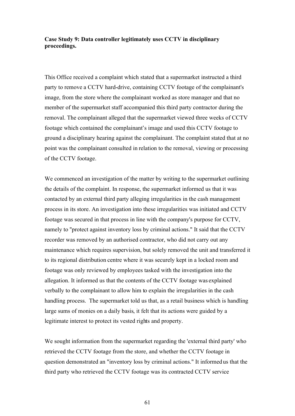# <span id="page-60-0"></span>**Case Study 9: Data controller legitimately uses CCTV in disciplinary proceedings.**

This Office received a complaint which stated that a supermarket instructed a third party to remove a CCTV hard-drive, containing CCTV footage of the complainant's image, from the store where the complainant worked as store manager and that no member of the supermarket staff accompanied this third party contractor during the removal. The complainant alleged that the supermarket viewed three weeks of CCTV footage which contained the complainant's image and used this CCTV footage to ground a disciplinary hearing against the complainant. The complaint stated that at no point was the complainant consulted in relation to the removal, viewing or processing of the CCTV footage.

We commenced an investigation of the matter by writing to the supermarket outlining the details of the complaint. In response, the supermarket informed us that it was contacted by an external third party alleging irregularities in the cash management process in its store. An investigation into these irregularities was initiated and CCTV footage was secured in that process in line with the company's purpose for CCTV, namely to ''protect against inventory loss by criminal actions." It said that the CCTV recorder was removed by an authorised contractor, who did not carry out any maintenance which requires supervision, but solely removed the unit and transferred it to its regional distribution centre where it was securely kept in a locked room and footage was only reviewed by employees tasked with the investigation into the allegation. It informed us that the contents of the CCTV footage was explained verbally to the complainant to allow him to explain the irregularities in the cash handling process. The supermarket told us that, as a retail business which is handling large sums of monies on a daily basis, it felt that its actions were guided by a legitimate interest to protect its vested rights and property.

We sought information from the supermarket regarding the 'external third party' who retrieved the CCTV footage from the store, and whether the CCTV footage in question demonstrated an "inventory loss by criminal actions." It informed us that the third party who retrieved the CCTV footage was its contracted CCTV service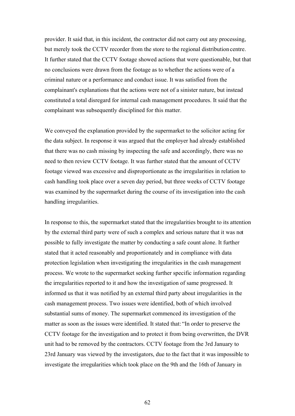provider. It said that, in this incident, the contractor did not carry out any processing, but merely took the CCTV recorder from the store to the regional distribution centre. It further stated that the CCTV footage showed actions that were questionable, but that no conclusions were drawn from the footage as to whether the actions were of a criminal nature or a performance and conduct issue. It was satisfied from the complainant's explanations that the actions were not of a sinister nature, but instead constituted a total disregard for internal cash management procedures. It said that the complainant was subsequently disciplined for this matter.

We conveyed the explanation provided by the supermarket to the solicitor acting for the data subject. In response it was argued that the employer had already established that there was no cash missing by inspecting the safe and accordingly, there was no need to then review CCTV footage. It was further stated that the amount of CCTV footage viewed was excessive and disproportionate as the irregularities in relation to cash handling took place over a seven day period, but three weeks of CCTV footage was examined by the supermarket during the course of its investigation into the cash handling irregularities.

In response to this, the supermarket stated that the irregularities brought to its attention by the external third party were of such a complex and serious nature that it was not possible to fully investigate the matter by conducting a safe count alone. It further stated that it acted reasonably and proportionately and in compliance with data protection legislation when investigating the irregularities in the cash management process. We wrote to the supermarket seeking further specific information regarding the irregularities reported to it and how the investigation of same progressed. It informed us that it was notified by an external third party about irregularities in the cash management process. Two issues were identified, both of which involved substantial sums of money. The supermarket commenced its investigation of the matter as soon as the issues were identified. It stated that: "In order to preserve the CCTV footage for the investigation and to protect it from being overwritten, the DVR unit had to be removed by the contractors. CCTV footage from the 3rd January to 23rd January was viewed by the investigators, due to the fact that it was impossible to investigate the irregularities which took place on the 9th and the 16th of January in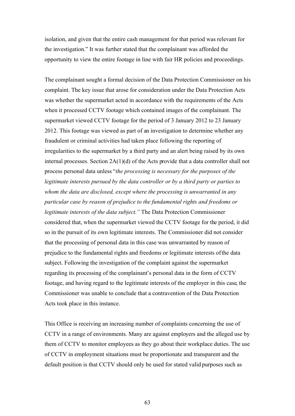isolation, and given that the entire cash management for that period was relevant for the investigation." It was further stated that the complainant was afforded the opportunity to view the entire footage in line with fair HR policies and proceedings.

The complainant sought a formal decision of the Data Protection Commissioner on his complaint. The key issue that arose for consideration under the Data Protection Acts was whether the supermarket acted in accordance with the requirements of the Acts when it processed CCTV footage which contained images of the complainant. The supermarket viewed CCTV footage for the period of 3 January 2012 to 23 January 2012. This footage was viewed as part of an investigation to determine whether any fraudulent or criminal activities had taken place following the reporting of irregularities to the supermarket by a third party and an alert being raised by its own internal processes. Section 2A(1)(d) of the Acts provide that a data controller shall not process personal data unless "*the processing is necessary for the purposes of the legitimate interests pursued by the data controller or by a third party or parties to whom the data are disclosed, except where the processing is unwarranted in any particular case by reason of prejudice to the fundamental rights and freedoms or legitimate interests of the data subject."* The Data Protection Commissioner considered that, when the supermarket viewed the CCTV footage for the period, it did so in the pursuit of its own legitimate interests. The Commissioner did not consider that the processing of personal data in this case was unwarranted by reason of prejudice to the fundamental rights and freedoms or legitimate interests of the data subject. Following the investigation of the complaint against the supermarket regarding its processing of the complainant's personal data in the form of CCTV footage, and having regard to the legitimate interests of the employer in this case, the Commissioner was unable to conclude that a contravention of the Data Protection Acts took place in this instance.

This Office is receiving an increasing number of complaints concerning the use of CCTV in a range of environments. Many are against employers and the alleged use by them of CCTV to monitor employees as they go about their workplace duties. The use of CCTV in employment situations must be proportionate and transparent and the default position is that CCTV should only be used for stated valid purposes such as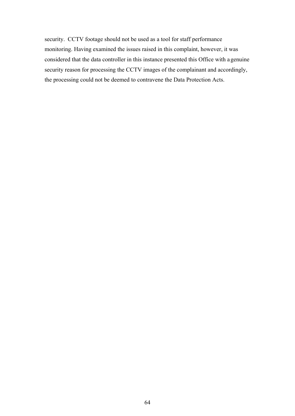security. CCTV footage should not be used as a tool for staff performance monitoring. Having examined the issues raised in this complaint, however, it was considered that the data controller in this instance presented this Office with a genuine security reason for processing the CCTV images of the complainant and accordingly, the processing could not be deemed to contravene the Data Protection Acts.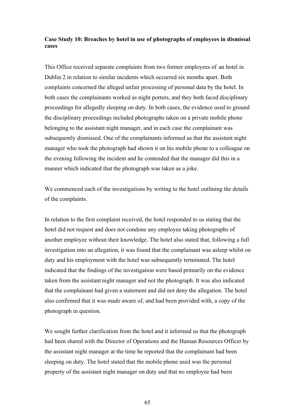# <span id="page-64-0"></span>**Case Study 10: Breaches by hotel in use of photographs of employees in dismissal cases**

This Office received separate complaints from two former employees of an hotel in Dublin 2 in relation to similar incidents which occurred six months apart. Both complaints concerned the alleged unfair processing of personal data by the hotel. In both cases the complainants worked as night porters, and they both faced disciplinary proceedings for allegedly sleeping on duty. In both cases, the evidence used to ground the disciplinary proceedings included photographs taken on a private mobile phone belonging to the assistant night manager, and in each case the complainant was subsequently dismissed. One of the complainants informed us that the assistant night manager who took the photograph had shown it on his mobile phone to a colleague on the evening following the incident and he contended that the manager did this in a manner which indicated that the photograph was taken as a joke.

We commenced each of the investigations by writing to the hotel outlining the details of the complaints.

In relation to the first complaint received, the hotel responded to us stating that the hotel did not request and does not condone any employee taking photographs of another employee without their knowledge. The hotel also stated that, following a full investigation into an allegation, it was found that the complainant was asleep whilst on duty and his employment with the hotel was subsequently terminated. The hotel indicated that the findings of the investigation were based primarily on the evidence taken from the assistant night manager and not the photograph. It was also indicated that the complainant had given a statement and did not deny the allegation. The hotel also confirmed that it was made aware of, and had been provided with, a copy of the photograph in question.

We sought further clarification from the hotel and it informed us that the photograph had been shared with the Director of Operations and the Human Resources Officer by the assistant night manager at the time he reported that the complainant had been sleeping on duty. The hotel stated that the mobile phone used was the personal property of the assistant night manager on duty and that no employee had been

65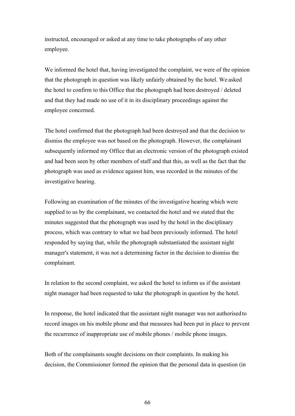instructed, encouraged or asked at any time to take photographs of any other employee.

We informed the hotel that, having investigated the complaint, we were of the opinion that the photograph in question was likely unfairly obtained by the hotel. We asked the hotel to confirm to this Office that the photograph had been destroyed / deleted and that they had made no use of it in its disciplinary proceedings against the employee concerned.

The hotel confirmed that the photograph had been destroyed and that the decision to dismiss the employee was not based on the photograph. However, the complainant subsequently informed my Office that an electronic version of the photograph existed and had been seen by other members of staff and that this, as well as the fact that the photograph was used as evidence against him, was recorded in the minutes of the investigative hearing.

Following an examination of the minutes of the investigative hearing which were supplied to us by the complainant, we contacted the hotel and we stated that the minutes suggested that the photograph was used by the hotel in the disciplinary process, which was contrary to what we had been previously informed. The hotel responded by saying that, while the photograph substantiated the assistant night manager's statement, it was not a determining factor in the decision to dismiss the complainant.

In relation to the second complaint, we asked the hotel to inform us if the assistant night manager had been requested to take the photograph in question by the hotel.

In response, the hotel indicated that the assistant night manager was not authorised to record images on his mobile phone and that measures had been put in place to prevent the recurrence of inappropriate use of mobile phones / mobile phone images.

Both of the complainants sought decisions on their complaints. In making his decision, the Commissioner formed the opinion that the personal data in question (in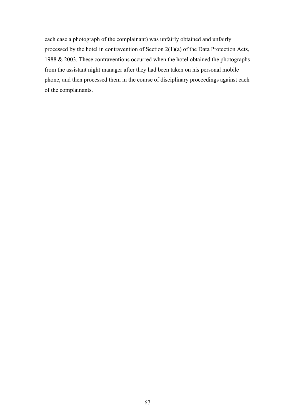each case a photograph of the complainant) was unfairly obtained and unfairly processed by the hotel in contravention of Section 2(1)(a) of the Data Protection Acts, 1988 & 2003. These contraventions occurred when the hotel obtained the photographs from the assistant night manager after they had been taken on his personal mobile phone, and then processed them in the course of disciplinary proceedings against each of the complainants.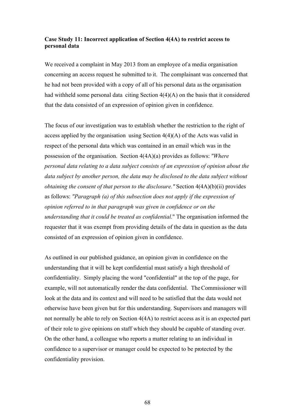# <span id="page-67-0"></span>**Case Study 11: Incorrect application of Section 4(4A) to restrict access to personal data**

We received a complaint in May 2013 from an employee of a media organisation concerning an access request he submitted to it. The complainant was concerned that he had not been provided with a copy of all of his personal data as the organisation had withheld some personal data citing Section 4(4)(A) on the basis that it considered that the data consisted of an expression of opinion given in confidence.

The focus of our investigation was to establish whether the restriction to the right of access applied by the organisation using Section  $4(4)(A)$  of the Acts was valid in respect of the personal data which was contained in an email which was in the possession of the organisation. Section 4(4A)(a) provides as follows: *"Where personal data relating to a data subject consists of an expression of opinion about the data subject by another person, the data may be disclosed to the data subject without obtaining the consent of that person to the disclosure."* Section  $4(4A)(b)(ii)$  provides as follows: *"Paragraph (a) of this subsection does not apply if the expression of opinion referred to in that paragraph was given in confidence or on the understanding that it could be treated as confidential.*" The organisation informed the requester that it was exempt from providing details of the data in question as the data consisted of an expression of opinion given in confidence.

As outlined in our published guidance, an opinion given in confidence on the understanding that it will be kept confidential must satisfy a high threshold of confidentiality. Simply placing the word "confidential" at the top of the page, for example, will not automatically render the data confidential. The Commissioner will look at the data and its context and will need to be satisfied that the data would not otherwise have been given but for this understanding. Supervisors and managers will not normally be able to rely on Section 4(4A) to restrict access as it is an expected part of their role to give opinions on staff which they should be capable of standing over. On the other hand, a colleague who reports a matter relating to an individual in confidence to a supervisor or manager could be expected to be protected by the confidentiality provision.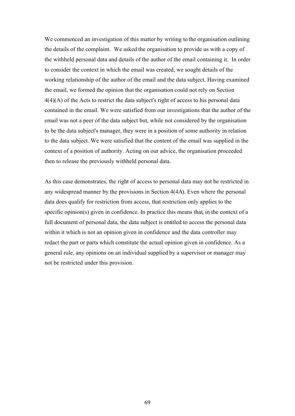We commenced an investigation of this matter by writing to the organisation outlining the details of the complaint. We asked the organisation to provide us with a copy of the withheld personal data and details of the author of the email containing it. In order to consider the context in which the email was created, we sought details of the working relationship of the author of the email and the data subject. Having examined the email, we formed the opinion that the organisation could not rely on Section 4(4)(A) of the Acts to restrict the data subject's right of access to his personal data contained in the email. We were satisfied from our investigations that the author of the email was not a peer of the data subject but, while not considered by the organisation to be the data subject's manager, they were in a position of some authority in relation to the data subject. We were satisfied that the content of the email was supplied in the context of a position of authority. Acting on our advice, the organisation proceeded then to release the previously withheld personal data.

As this case demonstrates, the right of access to personal data may not be restricted in any widespread manner by the provisions in Section 4(4A). Even where the personal data does qualify for restriction from access, that restriction only applies to the specific opinion(s) given in confidence. In practice this means that, in the context of a full document of personal data, the data subject is entitled to access the personal data within it which is not an opinion given in confidence and the data controller may redact the part or parts which constitute the actual opinion given in confidence. As a general rule, any opinions on an individual supplied by a supervisor or manager may not be restricted under this provision.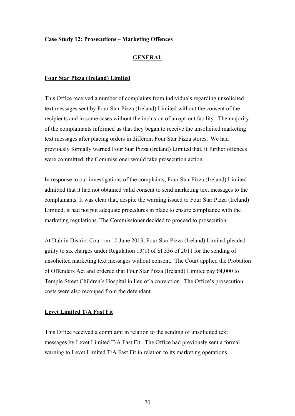# <span id="page-69-0"></span>**Case Study 12: Prosecutions – Marketing Offences**

## **GENERAL**

#### **Four Star Pizza (Ireland) Limited**

This Office received a number of complaints from individuals regarding unsolicited text messages sent by Four Star Pizza (Ireland) Limited without the consent of the recipients and in some cases without the inclusion of an opt-out facility. The majority of the complainants informed us that they began to receive the unsolicited marketing text messages after placing orders in different Four Star Pizza stores. We had previously formally warned Four Star Pizza (Ireland) Limited that, if further offences were committed, the Commissioner would take prosecution action.

In response to our investigations of the complaints, Four Star Pizza (Ireland) Limited admitted that it had not obtained valid consent to send marketing text messages to the complainants. It was clear that, despite the warning issued to Four Star Pizza (Ireland) Limited, it had not put adequate procedures in place to ensure compliance with the marketing regulations. The Commissioner decided to proceed to prosecution.

At Dublin District Court on 10 June 2013, Four Star Pizza (Ireland) Limited pleaded guilty to six charges under Regulation 13(1) of SI 336 of 2011 for the sending of unsolicited marketing text messages without consent. The Court applied the Probation of Offenders Act and ordered that Four Star Pizza (Ireland) Limited pay €4,000 to Temple Street Children's Hospital in lieu of a conviction. The Office's prosecution costs were also recouped from the defendant.

# **Levet Limited T/A Fast Fit**

This Office received a complaint in relation to the sending of unsolicited text messages by Levet Limited T/A Fast Fit. The Office had previously sent a formal warning to Levet Limited T/A Fast Fit in relation to its marketing operations.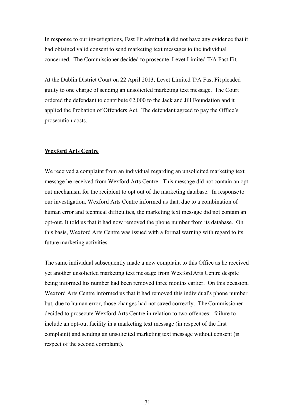In response to our investigations, Fast Fit admitted it did not have any evidence that it had obtained valid consent to send marketing text messages to the individual concerned. The Commissioner decided to prosecute Levet Limited T/A Fast Fit.

At the Dublin District Court on 22 April 2013, Levet Limited T/A Fast Fit pleaded guilty to one charge of sending an unsolicited marketing text message. The Court ordered the defendant to contribute €2,000 to the Jack and Jill Foundation and it applied the Probation of Offenders Act. The defendant agreed to pay the Office's prosecution costs.

## **Wexford Arts Centre**

We received a complaint from an individual regarding an unsolicited marketing text message he received from Wexford Arts Centre. This message did not contain an optout mechanism for the recipient to opt out of the marketing database. In response to our investigation, Wexford Arts Centre informed us that, due to a combination of human error and technical difficulties, the marketing text message did not contain an opt-out. It told us that it had now removed the phone number from its database. On this basis, Wexford Arts Centre was issued with a formal warning with regard to its future marketing activities.

The same individual subsequently made a new complaint to this Office as he received yet another unsolicited marketing text message from Wexford Arts Centre despite being informed his number had been removed three months earlier. On this occasion, Wexford Arts Centre informed us that it had removed this individual's phone number but, due to human error, those changes had not saved correctly. The Commissioner decided to prosecute Wexford Arts Centre in relation to two offences:- failure to include an opt-out facility in a marketing text message (in respect of the first complaint) and sending an unsolicited marketing text message without consent (in respect of the second complaint).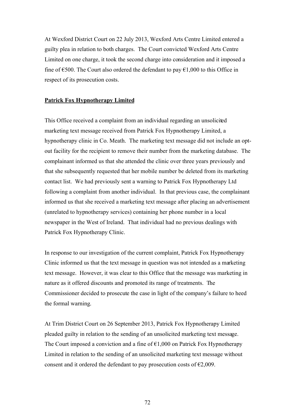At Wexford District Court on 22 July 2013, Wexford Arts Centre Limited entered a guilty plea in relation to both charges. The Court convicted Wexford Arts Centre Limited on one charge, it took the second charge into consideration and it imposed a fine of  $\epsilon$ 500. The Court also ordered the defendant to pay  $\epsilon$ 1,000 to this Office in respect of its prosecution costs.

## **Patrick Fox Hypnotherapy Limited**

This Office received a complaint from an individual regarding an unsolicited marketing text message received from Patrick Fox Hypnotherapy Limited, a hypnotherapy clinic in Co. Meath. The marketing text message did not include an optout facility for the recipient to remove their number from the marketing database. The complainant informed us that she attended the clinic over three years previously and that she subsequently requested that her mobile number be deleted from its marketing contact list. We had previously sent a warning to Patrick Fox Hypnotherapy Ltd following a complaint from another individual. In that previous case, the complainant informed us that she received a marketing text message after placing an advertisement (unrelated to hypnotherapy services) containing her phone number in a local newspaper in the West of Ireland. That individual had no previous dealings with Patrick Fox Hypnotherapy Clinic.

In response to our investigation of the current complaint, Patrick Fox Hypnotherapy Clinic informed us that the text message in question was not intended as a marketing text message. However, it was clear to this Office that the message was marketing in nature as it offered discounts and promoted its range of treatments. The Commissioner decided to prosecute the case in light of the company's failure to heed the formal warning.

At Trim District Court on 26 September 2013, Patrick Fox Hypnotherapy Limited pleaded guilty in relation to the sending of an unsolicited marketing text message. The Court imposed a conviction and a fine of  $\epsilon$ 1,000 on Patrick Fox Hypnotherapy Limited in relation to the sending of an unsolicited marketing text message without consent and it ordered the defendant to pay prosecution costs of  $\epsilon$ 2,009.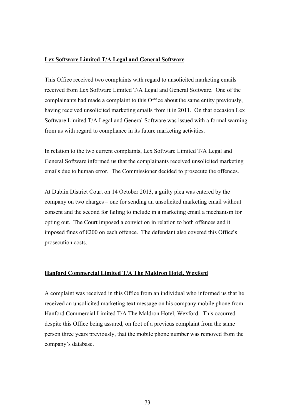# **Lex Software Limited T/A Legal and General Software**

This Office received two complaints with regard to unsolicited marketing emails received from Lex Software Limited T/A Legal and General Software. One of the complainants had made a complaint to this Office about the same entity previously, having received unsolicited marketing emails from it in 2011. On that occasion Lex Software Limited T/A Legal and General Software was issued with a formal warning from us with regard to compliance in its future marketing activities.

In relation to the two current complaints, Lex Software Limited T/A Legal and General Software informed us that the complainants received unsolicited marketing emails due to human error. The Commissioner decided to prosecute the offences.

At Dublin District Court on 14 October 2013, a guilty plea was entered by the company on two charges – one for sending an unsolicited marketing email without consent and the second for failing to include in a marketing email a mechanism for opting out. The Court imposed a conviction in relation to both offences and it imposed fines of  $\epsilon$ 200 on each offence. The defendant also covered this Office's prosecution costs.

#### **Hanford Commercial Limited T/A The Maldron Hotel, Wexford**

A complaint was received in this Office from an individual who informed us that he received an unsolicited marketing text message on his company mobile phone from Hanford Commercial Limited T/A The Maldron Hotel, Wexford. This occurred despite this Office being assured, on foot of a previous complaint from the same person three years previously, that the mobile phone number was removed from the company's database.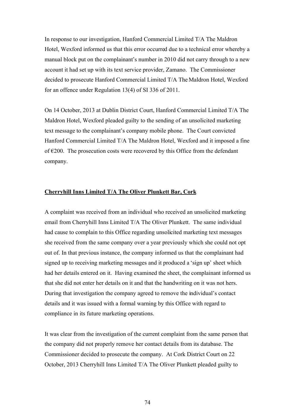In response to our investigation, Hanford Commercial Limited T/A The Maldron Hotel, Wexford informed us that this error occurred due to a technical error whereby a manual block put on the complainant's number in 2010 did not carry through to a new account it had set up with its text service provider, Zamano. The Commissioner decided to prosecute Hanford Commercial Limited T/A The Maldron Hotel, Wexford for an offence under Regulation 13(4) of SI 336 of 2011.

On 14 October, 2013 at Dublin District Court, Hanford Commercial Limited T/A The Maldron Hotel, Wexford pleaded guilty to the sending of an unsolicited marketing text message to the complainant's company mobile phone. The Court convicted Hanford Commercial Limited T/A The Maldron Hotel, Wexford and it imposed a fine of  $\epsilon$ 200. The prosecution costs were recovered by this Office from the defendant company.

#### **Cherryhill Inns Limited T/A The Oliver Plunkett Bar, Cork**

A complaint was received from an individual who received an unsolicited marketing email from Cherryhill Inns Limited T/A The Oliver Plunkett. The same individual had cause to complain to this Office regarding unsolicited marketing text messages she received from the same company over a year previously which she could not opt out of. In that previous instance, the company informed us that the complainant had signed up to receiving marketing messages and it produced a 'sign up' sheet which had her details entered on it. Having examined the sheet, the complainant informed us that she did not enter her details on it and that the handwriting on it was not hers. During that investigation the company agreed to remove the individual's contact details and it was issued with a formal warning by this Office with regard to compliance in its future marketing operations.

It was clear from the investigation of the current complaint from the same person that the company did not properly remove her contact details from its database. The Commissioner decided to prosecute the company. At Cork District Court on 22 October, 2013 Cherryhill Inns Limited T/A The Oliver Plunkett pleaded guilty to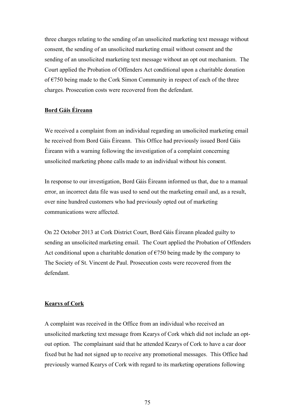three charges relating to the sending of an unsolicited marketing text message without consent, the sending of an unsolicited marketing email without consent and the sending of an unsolicited marketing text message without an opt out mechanism. The Court applied the Probation of Offenders Act conditional upon a charitable donation of  $\epsilon$ 750 being made to the Cork Simon Community in respect of each of the three charges. Prosecution costs were recovered from the defendant.

# **Bord Gáis Éireann**

We received a complaint from an individual regarding an unsolicited marketing email he received from Bord Gáis Éireann. This Office had previously issued Bord Gáis Éireann with a warning following the investigation of a complaint concerning unsolicited marketing phone calls made to an individual without his consent.

In response to our investigation, Bord Gáis Éireann informed us that, due to a manual error, an incorrect data file was used to send out the marketing email and, as a result, over nine hundred customers who had previously opted out of marketing communications were affected.

On 22 October 2013 at Cork District Court, Bord Gáis Éireann pleaded guilty to sending an unsolicited marketing email. The Court applied the Probation of Offenders Act conditional upon a charitable donation of  $\epsilon$ 750 being made by the company to The Society of St. Vincent de Paul. Prosecution costs were recovered from the defendant.

#### **Kearys of Cork**

A complaint was received in the Office from an individual who received an unsolicited marketing text message from Kearys of Cork which did not include an optout option. The complainant said that he attended Kearys of Cork to have a car door fixed but he had not signed up to receive any promotional messages. This Office had previously warned Kearys of Cork with regard to its marketing operations following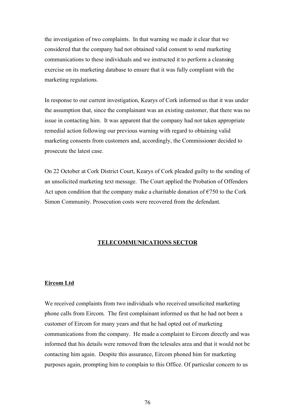the investigation of two complaints. In that warning we made it clear that we considered that the company had not obtained valid consent to send marketing communications to these individuals and we instructed it to perform a cleansing exercise on its marketing database to ensure that it was fully compliant with the marketing regulations.

In response to our current investigation, Kearys of Cork informed us that it was under the assumption that, since the complainant was an existing customer, that there was no issue in contacting him. It was apparent that the company had not taken appropriate remedial action following our previous warning with regard to obtaining valid marketing consents from customers and, accordingly, the Commissioner decided to prosecute the latest case.

On 22 October at Cork District Court, Kearys of Cork pleaded guilty to the sending of an unsolicited marketing text message. The Court applied the Probation of Offenders Act upon condition that the company make a charitable donation of  $\epsilon$ 750 to the Cork Simon Community. Prosecution costs were recovered from the defendant.

#### **TELECOMMUNICATIONS SECTOR**

#### **Eircom Ltd**

We received complaints from two individuals who received unsolicited marketing phone calls from Eircom. The first complainant informed us that he had not been a customer of Eircom for many years and that he had opted out of marketing communications from the company. He made a complaint to Eircom directly and was informed that his details were removed from the telesales area and that it would not be contacting him again. Despite this assurance, Eircom phoned him for marketing purposes again, prompting him to complain to this Office. Of particular concern to us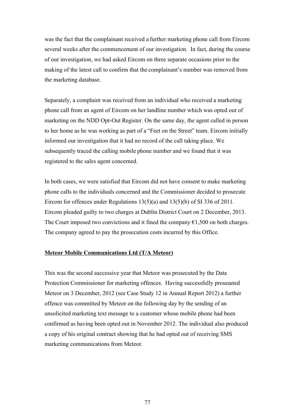was the fact that the complainant received a further marketing phone call from Eircom several weeks after the commencement of our investigation. In fact, during the course of our investigation, we had asked Eircom on three separate occasions prior to the making of the latest call to confirm that the complainant's number was removed from the marketing database.

Separately, a complaint was received from an individual who received a marketing phone call from an agent of Eircom on her landline number which was opted out of marketing on the NDD Opt-Out Register. On the same day, the agent called in person to her home as he was working as part of a "Feet on the Street" team. Eircom initially informed our investigation that it had no record of the call taking place. We subsequently traced the calling mobile phone number and we found that it was registered to the sales agent concerned.

In both cases, we were satisfied that Eircom did not have consent to make marketing phone calls to the individuals concerned and the Commissioner decided to prosecute Eircom for offences under Regulations  $13(5)(a)$  and  $13(5)(b)$  of SI 336 of 2011. Eircom pleaded guilty to two charges at Dublin District Court on 2 December, 2013. The Court imposed two convictions and it fined the company  $\epsilon$ 1,500 on both charges. The company agreed to pay the prosecution costs incurred by this Office.

#### **Meteor Mobile Communications Ltd (T/A Meteor)**

This was the second successive year that Meteor was prosecuted by the Data Protection Commissioner for marketing offences. Having successfully prosecuted Meteor on 3 December, 2012 (see Case Study 12 in Annual Report 2012) a further offence was committed by Meteor on the following day by the sending of an unsolicited marketing text message to a customer whose mobile phone had been confirmed as having been opted out in November 2012. The individual also produced a copy of his original contract showing that he had opted out of receiving SMS marketing communications from Meteor.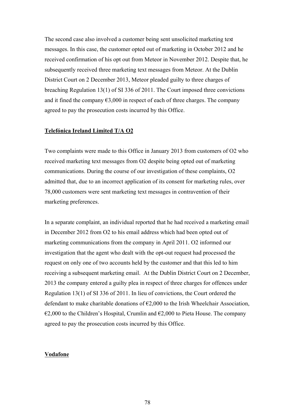The second case also involved a customer being sent unsolicited marketing text messages. In this case, the customer opted out of marketing in October 2012 and he received confirmation of his opt out from Meteor in November 2012. Despite that, he subsequently received three marketing text messages from Meteor. At the Dublin District Court on 2 December 2013, Meteor pleaded guilty to three charges of breaching Regulation 13(1) of SI 336 of 2011. The Court imposed three convictions and it fined the company  $\epsilon$ 3,000 in respect of each of three charges. The company agreed to pay the prosecution costs incurred by this Office.

#### **Telefónica Ireland Limited T/A O2**

Two complaints were made to this Office in January 2013 from customers of O2 who received marketing text messages from O2 despite being opted out of marketing communications. During the course of our investigation of these complaints, O2 admitted that, due to an incorrect application of its consent for marketing rules, over 78,000 customers were sent marketing text messages in contravention of their marketing preferences.

In a separate complaint, an individual reported that he had received a marketing email in December 2012 from O2 to his email address which had been opted out of marketing communications from the company in April 2011. O2 informed our investigation that the agent who dealt with the opt-out request had processed the request on only one of two accounts held by the customer and that this led to him receiving a subsequent marketing email. At the Dublin District Court on 2 December, 2013 the company entered a guilty plea in respect of three charges for offences under Regulation 13(1) of SI 336 of 2011. In lieu of convictions, the Court ordered the defendant to make charitable donations of  $\epsilon$ 2,000 to the Irish Wheelchair Association,  $\epsilon$ 2,000 to the Children's Hospital, Crumlin and  $\epsilon$ 2,000 to Pieta House. The company agreed to pay the prosecution costs incurred by this Office.

#### **Vodafone**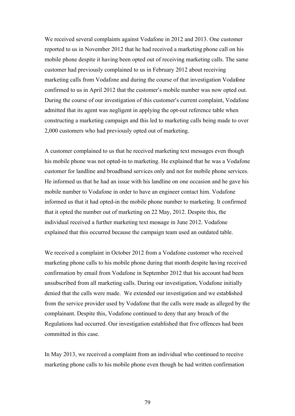We received several complaints against Vodafone in 2012 and 2013. One customer reported to us in November 2012 that he had received a marketing phone call on his mobile phone despite it having been opted out of receiving marketing calls. The same customer had previously complained to us in February 2012 about receiving marketing calls from Vodafone and during the course of that investigation Vodafone confirmed to us in April 2012 that the customer's mobile number was now opted out. During the course of our investigation of this customer's current complaint, Vodafone admitted that its agent was negligent in applying the opt-out reference table when constructing a marketing campaign and this led to marketing calls being made to over 2,000 customers who had previously opted out of marketing.

A customer complained to us that he received marketing text messages even though his mobile phone was not opted-in to marketing. He explained that he was a Vodafone customer for landline and broadband services only and not for mobile phone services. He informed us that he had an issue with his landline on one occasion and he gave his mobile number to Vodafone in order to have an engineer contact him. Vodafone informed us that it had opted-in the mobile phone number to marketing. It confirmed that it opted the number out of marketing on 22 May, 2012. Despite this, the individual received a further marketing text message in June 2012. Vodafone explained that this occurred because the campaign team used an outdated table.

We received a complaint in October 2012 from a Vodafone customer who received marketing phone calls to his mobile phone during that month despite having received confirmation by email from Vodafone in September 2012 that his account had been unsubscribed from all marketing calls. During our investigation, Vodafone initially denied that the calls were made. We extended our investigation and we established from the service provider used by Vodafone that the calls were made as alleged by the complainant. Despite this, Vodafone continued to deny that any breach of the Regulations had occurred. Our investigation established that five offences had been committed in this case.

In May 2013, we received a complaint from an individual who continued to receive marketing phone calls to his mobile phone even though he had written confirmation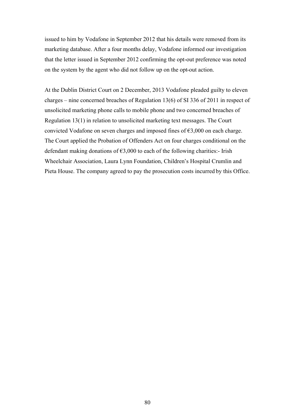issued to him by Vodafone in September 2012 that his details were removed from its marketing database. After a four months delay, Vodafone informed our investigation that the letter issued in September 2012 confirming the opt-out preference was noted on the system by the agent who did not follow up on the opt-out action.

At the Dublin District Court on 2 December, 2013 Vodafone pleaded guilty to eleven charges – nine concerned breaches of Regulation 13(6) of SI 336 of 2011 in respect of unsolicited marketing phone calls to mobile phone and two concerned breaches of Regulation 13(1) in relation to unsolicited marketing text messages. The Court convicted Vodafone on seven charges and imposed fines of €3,000 on each charge. The Court applied the Probation of Offenders Act on four charges conditional on the defendant making donations of  $\epsilon$ 3,000 to each of the following charities:- Irish Wheelchair Association, Laura Lynn Foundation, Children's Hospital Crumlin and Pieta House. The company agreed to pay the prosecution costs incurred by this Office.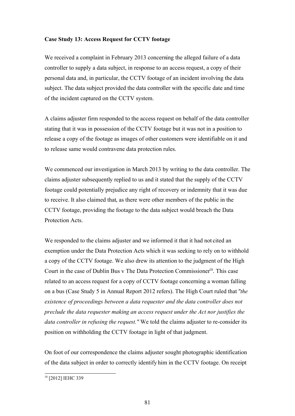### **Case Study 13: Access Request for CCTV footage**

We received a complaint in February 2013 concerning the alleged failure of a data controller to supply a data subject, in response to an access request, a copy of their personal data and, in particular, the CCTV footage of an incident involving the data subject. The data subject provided the data controller with the specific date and time of the incident captured on the CCTV system.

A claims adjuster firm responded to the access request on behalf of the data controller stating that it was in possession of the CCTV footage but it was not in a position to release a copy of the footage as images of other customers were identifiable on it and to release same would contravene data protection rules.

We commenced our investigation in March 2013 by writing to the data controller. The claims adjuster subsequently replied to us and it stated that the supply of the CCTV footage could potentially prejudice any right of recovery or indemnity that it was due to receive. It also claimed that, as there were other members of the public in the CCTV footage, providing the footage to the data subject would breach the Data Protection Acts.

We responded to the claims adjuster and we informed it that it had not cited an exemption under the Data Protection Acts which it was seeking to rely on to withhold a copy of the CCTV footage. We also drew its attention to the judgment of the High Court in the case of Dublin Bus v The Data Protection Commissioner<sup>10</sup>. This case related to an access request for a copy of CCTV footage concerning a woman falling on a bus (Case Study 5 in Annual Report 2012 refers). The High Court ruled that "*the existence of proceedings between a data requester and the data controller does not preclude the data requester making an access request under the Act nor justifies the data controller in refusing the request."* We told the claims adjuster to re-consider its position on withholding the CCTV footage in light of that judgment.

On foot of our correspondence the claims adjuster sought photographic identification of the data subject in order to correctly identify him in the CCTV footage. On receipt

<sup>&</sup>lt;sup>10</sup> [2012] IEHC 339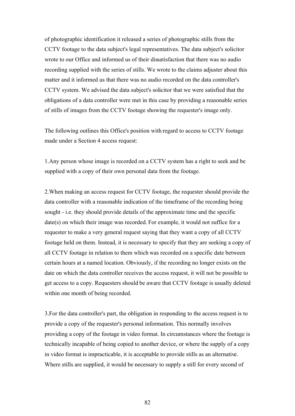of photographic identification it released a series of photographic stills from the CCTV footage to the data subject's legal representatives. The data subject's solicitor wrote to our Office and informed us of their dissatisfaction that there was no audio recording supplied with the series of stills. We wrote to the claims adjuster about this matter and it informed us that there was no audio recorded on the data controller's CCTV system. We advised the data subject's solicitor that we were satisfied that the obligations of a data controller were met in this case by providing a reasonable series of stills of images from the CCTV footage showing the requester's image only.

The following outlines this Office's position with regard to access to CCTV footage made under a Section 4 access request:

1.Any person whose image is recorded on a CCTV system has a right to seek and be supplied with a copy of their own personal data from the footage.

2.When making an access request for CCTV footage, the requester should provide the data controller with a reasonable indication of the timeframe of the recording being sought - i.e. they should provide details of the approximate time and the specific date(s) on which their image was recorded. For example, it would not suffice for a requester to make a very general request saying that they want a copy of all CCTV footage held on them. Instead, it is necessary to specify that they are seeking a copy of all CCTV footage in relation to them which was recorded on a specific date between certain hours at a named location. Obviously, if the recording no longer exists on the date on which the data controller receives the access request, it will not be possible to get access to a copy. Requesters should be aware that CCTV footage is usually deleted within one month of being recorded.

3.For the data controller's part, the obligation in responding to the access request is to provide a copy of the requester's personal information. This normally involves providing a copy of the footage in video format. In circumstances where the footage is technically incapable of being copied to another device, or where the supply of a copy in video format is impracticable, it is acceptable to provide stills as an alternative. Where stills are supplied, it would be necessary to supply a still for every second of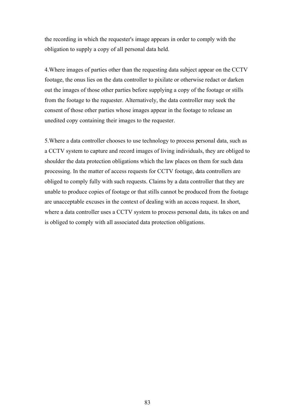the recording in which the requester's image appears in order to comply with the obligation to supply a copy of all personal data held.

4.Where images of parties other than the requesting data subject appear on the CCTV footage, the onus lies on the data controller to pixilate or otherwise redact or darken out the images of those other parties before supplying a copy of the footage or stills from the footage to the requester. Alternatively, the data controller may seek the consent of those other parties whose images appear in the footage to release an unedited copy containing their images to the requester.

5.Where a data controller chooses to use technology to process personal data, such as a CCTV system to capture and record images of living individuals, they are obliged to shoulder the data protection obligations which the law places on them for such data processing. In the matter of access requests for CCTV footage, data controllers are obliged to comply fully with such requests. Claims by a data controller that they are unable to produce copies of footage or that stills cannot be produced from the footage are unacceptable excuses in the context of dealing with an access request. In short, where a data controller uses a CCTV system to process personal data, its takes on and is obliged to comply with all associated data protection obligations.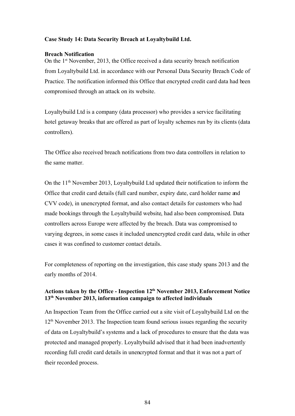#### **Case Study 14: Data Security Breach at Loyaltybuild Ltd.**

#### **Breach Notification**

On the 1<sup>st</sup> November, 2013, the Office received a data security breach notification from Loyaltybuild Ltd. in accordance with our Personal Data Security Breach Code of Practice. The notification informed this Office that encrypted credit card data had been compromised through an attack on its website.

Loyaltybuild Ltd is a company (data processor) who provides a service facilitating hotel getaway breaks that are offered as part of loyalty schemes run by its clients (data controllers).

The Office also received breach notifications from two data controllers in relation to the same matter.

On the 11<sup>th</sup> November 2013, Loyaltybuild Ltd updated their notification to inform the Office that credit card details (full card number, expiry date, card holder name and CVV code), in unencrypted format, and also contact details for customers who had made bookings through the Loyaltybuild website, had also been compromised. Data controllers across Europe were affected by the breach. Data was compromised to varying degrees, in some cases it included unencrypted credit card data, while in other cases it was confined to customer contact details.

For completeness of reporting on the investigation, this case study spans 2013 and the early months of 2014.

# **Actions taken by the Office - Inspection 12th November 2013, Enforcement Notice 13th November 2013, information campaign to affected individuals**

An Inspection Team from the Office carried out a site visit of Loyaltybuild Ltd on the  $12<sup>th</sup>$  November 2013. The Inspection team found serious issues regarding the security of data on Loyaltybuild's systems and a lack of procedures to ensure that the data was protected and managed properly. Loyaltybuild advised that it had been inadvertently recording full credit card details in unencrypted format and that it was not a part of their recorded process.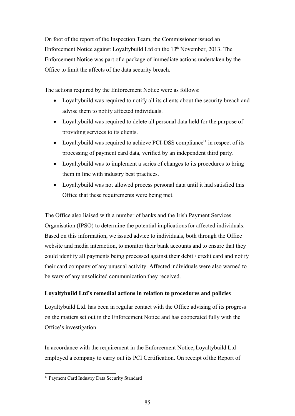On foot of the report of the Inspection Team, the Commissioner issued an Enforcement Notice against Loyaltybuild Ltd on the 13<sup>th</sup> November, 2013. The Enforcement Notice was part of a package of immediate actions undertaken by the Office to limit the affects of the data security breach.

The actions required by the Enforcement Notice were as follows:

- Loyaltybuild was required to notify all its clients about the security breach and advise them to notify affected individuals.
- Loyaltybuild was required to delete all personal data held for the purpose of providing services to its clients.
- Loyaltybuild was required to achieve PCI-DSS compliance<sup>11</sup> in respect of its processing of payment card data, verified by an independent third party.
- Loyaltybuild was to implement a series of changes to its procedures to bring them in line with industry best practices.
- Loyaltybuild was not allowed process personal data until it had satisfied this Office that these requirements were being met.

The Office also liaised with a number of banks and the Irish Payment Services Organisation (IPSO) to determine the potential implications for affected individuals. Based on this information, we issued advice to individuals, both through the Office website and media interaction, to monitor their bank accounts and to ensure that they could identify all payments being processed against their debit / credit card and notify their card company of any unusual activity. Affected individuals were also warned to be wary of any unsolicited communication they received.

# **Loyaltybuild Ltd's remedial actions in relation to procedures and policies**

Loyaltybuild Ltd. has been in regular contact with the Office advising of its progress on the matters set out in the Enforcement Notice and has cooperated fully with the Office's investigation.

In accordance with the requirement in the Enforcement Notice, Loyaltybuild Ltd employed a company to carry out its PCI Certification. On receipt of the Report of

<sup>&</sup>lt;sup>11</sup> Payment Card Industry Data Security Standard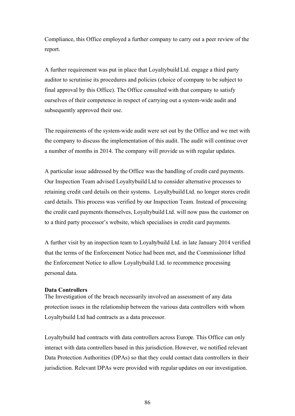Compliance, this Office employed a further company to carry out a peer review of the report.

A further requirement was put in place that Loyaltybuild Ltd. engage a third party auditor to scrutinise its procedures and policies (choice of company to be subject to final approval by this Office). The Office consulted with that company to satisfy ourselves of their competence in respect of carrying out a system-wide audit and subsequently approved their use.

The requirements of the system-wide audit were set out by the Office and we met with the company to discuss the implementation of this audit. The audit will continue over a number of months in 2014. The company will provide us with regular updates.

A particular issue addressed by the Office was the handling of credit card payments. Our Inspection Team advised Loyaltybuild Ltd to consider alternative processes to retaining credit card details on their systems. Loyaltybuild Ltd. no longer stores credit card details. This process was verified by our Inspection Team. Instead of processing the credit card payments themselves, Loyaltybuild Ltd. will now pass the customer on to a third party processor's website, which specialises in credit card payments.

A further visit by an inspection team to Loyaltybuild Ltd. in late January 2014 verified that the terms of the Enforcement Notice had been met, and the Commissioner lifted the Enforcement Notice to allow Loyaltybuild Ltd. to recommence processing personal data.

#### **Data Controllers**

The Investigation of the breach necessarily involved an assessment of any data protection issues in the relationship between the various data controllers with whom Loyaltybuild Ltd had contracts as a data processor.

Loyaltybuild had contracts with data controllers across Europe. This Office can only interact with data controllers based in this jurisdiction. However, we notified relevant Data Protection Authorities (DPAs) so that they could contact data controllers in their jurisdiction. Relevant DPAs were provided with regular updates on our investigation.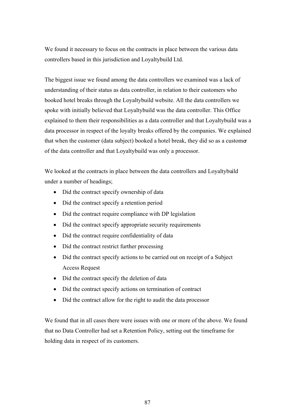We found it necessary to focus on the contracts in place between the various data controllers based in this jurisdiction and Loyaltybuild Ltd.

The biggest issue we found among the data controllers we examined was a lack of understanding of their status as data controller, in relation to their customers who booked hotel breaks through the Loyaltybuild website. All the data controllers we spoke with initially believed that Loyaltybuild was the data controller. This Office explained to them their responsibilities as a data controller and that Loyaltybuild was a data processor in respect of the loyalty breaks offered by the companies. We explained that when the customer (data subject) booked a hotel break, they did so as a customer of the data controller and that Loyaltybuild was only a processor.

We looked at the contracts in place between the data controllers and Loyaltybuild under a number of headings;

- Did the contract specify ownership of data
- Did the contract specify a retention period
- Did the contract require compliance with DP legislation
- Did the contract specify appropriate security requirements
- Did the contract require confidentiality of data
- Did the contract restrict further processing
- Did the contract specify actions to be carried out on receipt of a Subject Access Request
- Did the contract specify the deletion of data
- Did the contract specify actions on termination of contract
- Did the contract allow for the right to audit the data processor

We found that in all cases there were issues with one or more of the above. We found that no Data Controller had set a Retention Policy, setting out the timeframe for holding data in respect of its customers.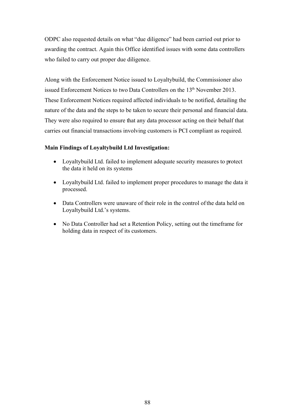ODPC also requested details on what "due diligence" had been carried out prior to awarding the contract. Again this Office identified issues with some data controllers who failed to carry out proper due diligence.

Along with the Enforcement Notice issued to Loyaltybuild, the Commissioner also issued Enforcement Notices to two Data Controllers on the 13<sup>th</sup> November 2013. These Enforcement Notices required affected individuals to be notified, detailing the nature of the data and the steps to be taken to secure their personal and financial data. They were also required to ensure that any data processor acting on their behalf that carries out financial transactions involving customers is PCI compliant as required.

# **Main Findings of Loyaltybuild Ltd Investigation:**

- Loyaltybuild Ltd. failed to implement adequate security measures to protect the data it held on its systems
- Loyaltybuild Ltd. failed to implement proper procedures to manage the data it processed.
- Data Controllers were unaware of their role in the control of the data held on Loyaltybuild Ltd.'s systems.
- No Data Controller had set a Retention Policy, setting out the timeframe for holding data in respect of its customers.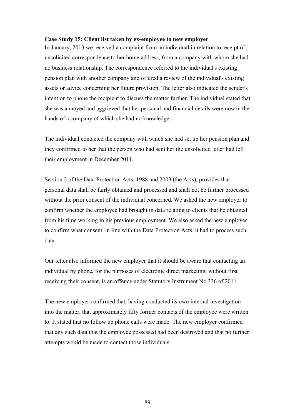#### **Case Study 15: Client list taken by ex-employee to new employer**

In January, 2013 we received a complaint from an individual in relation to receipt of unsolicited correspondence to her home address, from a company with whom she had no business relationship. The correspondence referred to the individual's existing pension plan with another company and offered a review of the individual's existing assets or advice concerning her future provision. The letter also indicated the sender's intention to phone the recipient to discuss the matter further. The individual stated that she was annoyed and aggrieved that her personal and financial details were now in the hands of a company of which she had no knowledge.

The individual contacted the company with which she had set up her pension plan and they confirmed to her that the person who had sent her the unsolicited letter had left their employment in December 2011.

Section 2 of the Data Protection Acts, 1988 and 2003 (the Acts), provides that personal data shall be fairly obtained and processed and shall not be further processed without the prior consent of the individual concerned. We asked the new employer to confirm whether the employee had brought in data relating to clients that he obtained from his time working in his previous employment. We also asked the new employer to confirm what consent, in line with the Data Protection Acts, it had to process such data.

Our letter also informed the new employer that it should be aware that contacting an individual by phone, for the purposes of electronic direct marketing, without first receiving their consent, is an offence under Statutory Instrument No 336 of 2011.

The new employer confirmed that, having conducted its own internal investigation into the matter, that approximately fifty former contacts of the employee were written to. It stated that no follow up phone calls were made. The new employer confirmed that any such data that the employee possessed had been destroyed and that no further attempts would be made to contact those individuals.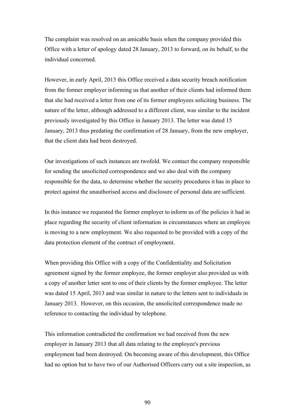The complaint was resolved on an amicable basis when the company provided this Office with a letter of apology dated 28 January, 2013 to forward, on its behalf, to the individual concerned.

However, in early April, 2013 this Office received a data security breach notification from the former employer informing us that another of their clients had informed them that she had received a letter from one of its former employees soliciting business. The nature of the letter, although addressed to a different client, was similar to the incident previously investigated by this Office in January 2013. The letter was dated 15 January, 2013 thus predating the confirmation of 28 January, from the new employer, that the client data had been destroyed.

Our investigations of such instances are twofold. We contact the company responsible for sending the unsolicited correspondence and we also deal with the company responsible for the data, to determine whether the security procedures it has in place to protect against the unauthorised access and disclosure of personal data are sufficient.

In this instance we requested the former employer to inform us of the policies it had in place regarding the security of client information in circumstances where an employee is moving to a new employment. We also requested to be provided with a copy of the data protection element of the contract of employment.

When providing this Office with a copy of the Confidentiality and Solicitation agreement signed by the former employee, the former employer also provided us with a copy of another letter sent to one of their clients by the former employee. The letter was dated 15 April, 2013 and was similar in nature to the letters sent to individuals in January 2013. However, on this occasion, the unsolicited correspondence made no reference to contacting the individual by telephone.

This information contradicted the confirmation we had received from the new employer in January 2013 that all data relating to the employee's previous employment had been destroyed. On becoming aware of this development, this Office had no option but to have two of our Authorised Officers carry out a site inspection, as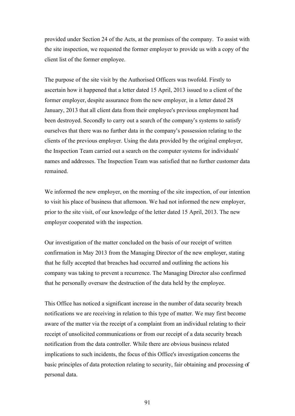provided under Section 24 of the Acts, at the premises of the company. To assist with the site inspection, we requested the former employer to provide us with a copy of the client list of the former employee.

The purpose of the site visit by the Authorised Officers was twofold. Firstly to ascertain how it happened that a letter dated 15 April, 2013 issued to a client of the former employer, despite assurance from the new employer, in a letter dated 28 January, 2013 that all client data from their employee's previous employment had been destroyed. Secondly to carry out a search of the company's systems to satisfy ourselves that there was no further data in the company's possession relating to the clients of the previous employer. Using the data provided by the original employer, the Inspection Team carried out a search on the computer systems for individuals' names and addresses. The Inspection Team was satisfied that no further customer data remained.

We informed the new employer, on the morning of the site inspection, of our intention to visit his place of business that afternoon. We had not informed the new employer, prior to the site visit, of our knowledge of the letter dated 15 April, 2013. The new employer cooperated with the inspection.

Our investigation of the matter concluded on the basis of our receipt of written confirmation in May 2013 from the Managing Director of the new employer, stating that he fully accepted that breaches had occurred and outlining the actions his company was taking to prevent a recurrence. The Managing Director also confirmed that he personally oversaw the destruction of the data held by the employee.

This Office has noticed a significant increase in the number of data security breach notifications we are receiving in relation to this type of matter. We may first become aware of the matter via the receipt of a complaint from an individual relating to their receipt of unsolicited communications or from our receipt of a data security breach notification from the data controller. While there are obvious business related implications to such incidents, the focus of this Office's investigation concerns the basic principles of data protection relating to security, fair obtaining and processing of personal data.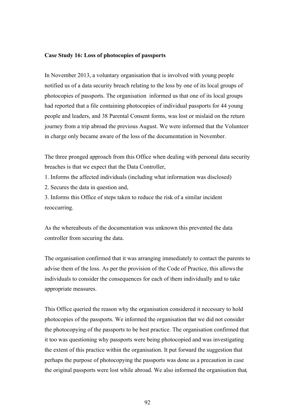#### **Case Study 16: Loss of photocopies of passports**

In November 2013, a voluntary organisation that is involved with young people notified us of a data security breach relating to the loss by one of its local groups of photocopies of passports. The organisation informed us that one of its local groups had reported that a file containing photocopies of individual passports for 44 young people and leaders, and 38 Parental Consent forms, was lost or mislaid on the return journey from a trip abroad the previous August. We were informed that the Volunteer in charge only became aware of the loss of the documentation in November.

The three pronged approach from this Office when dealing with personal data security breaches is that we expect that the Data Controller,

1. Informs the affected individuals (including what information was disclosed)

2. Secures the data in question and,

3. Informs this Office of steps taken to reduce the risk of a similar incident reoccurring.

As the whereabouts of the documentation was unknown this prevented the data controller from securing the data.

The organisation confirmed that it was arranging immediately to contact the parents to advise them of the loss. As per the provision of the Code of Practice, this allows the individuals to consider the consequences for each of them individually and to take appropriate measures.

This Office queried the reason why the organisation considered it necessary to hold photocopies of the passports. We informed the organisation that we did not consider the photocopying of the passports to be best practice. The organisation confirmed that it too was questioning why passports were being photocopied and was investigating the extent of this practice within the organisation. It put forward the suggestion that perhaps the purpose of photocopying the passports was done as a precaution in case the original passports were lost while abroad. We also informed the organisation that,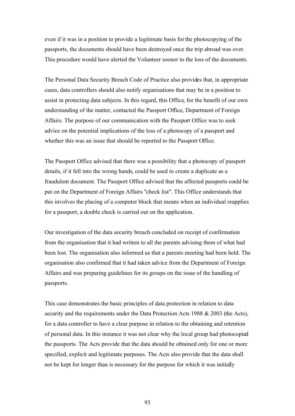even if it was in a position to provide a legitimate basis for the photocopying of the passports, the documents should have been destroyed once the trip abroad was over. This procedure would have alerted the Volunteer sooner to the loss of the documents.

The Personal Data Security Breach Code of Practice also provides that, in appropriate cases, data controllers should also notify organisations that may be in a position to assist in protecting data subjects. In this regard, this Office, for the benefit of our own understanding of the matter, contacted the Passport Office, Department of Foreign Affairs. The purpose of our communication with the Passport Office was to seek advice on the potential implications of the loss of a photocopy of a passport and whether this was an issue that should be reported to the Passport Office.

The Passport Office advised that there was a possibility that a photocopy of passport details, if it fell into the wrong hands, could be used to create a duplicate as a fraudulent document. The Passport Office advised that the affected passports could be put on the Department of Foreign Affairs "check list". This Office understands that this involves the placing of a computer block that means when an individual reapplies for a passport, a double check is carried out on the application.

Our investigation of the data security breach concluded on receipt of confirmation from the organisation that it had written to all the parents advising them of what had been lost. The organisation also informed us that a parents meeting had been held. The organisation also confirmed that it had taken advice from the Department of Foreign Affairs and was preparing guidelines for its groups on the issue of the handling of passports.

This case demonstrates the basic principles of data protection in relation to data security and the requirements under the Data Protection Acts 1988 & 2003 (the Acts), for a data controller to have a clear purpose in relation to the obtaining and retention of personal data. In this instance it was not clear why the local group had photocopied the passports. The Acts provide that the data should be obtained only for one or more specified, explicit and legitimate purposes. The Acts also provide that the data shall not be kept for longer than is necessary for the purpose for which it was initially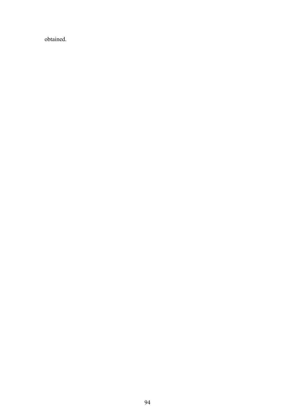obtained.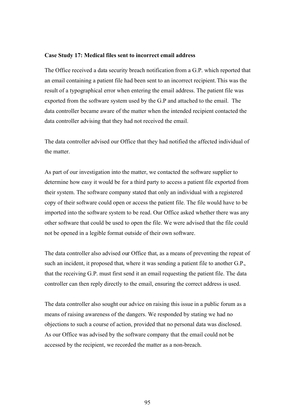#### **Case Study 17: Medical files sent to incorrect email address**

The Office received a data security breach notification from a G.P. which reported that an email containing a patient file had been sent to an incorrect recipient. This was the result of a typographical error when entering the email address. The patient file was exported from the software system used by the G.P and attached to the email. The data controller became aware of the matter when the intended recipient contacted the data controller advising that they had not received the email.

The data controller advised our Office that they had notified the affected individual of the matter.

As part of our investigation into the matter, we contacted the software supplier to determine how easy it would be for a third party to access a patient file exported from their system. The software company stated that only an individual with a registered copy of their software could open or access the patient file. The file would have to be imported into the software system to be read. Our Office asked whether there was any other software that could be used to open the file. We were advised that the file could not be opened in a legible format outside of their own software.

The data controller also advised our Office that, as a means of preventing the repeat of such an incident, it proposed that, where it was sending a patient file to another G.P., that the receiving G.P. must first send it an email requesting the patient file. The data controller can then reply directly to the email, ensuring the correct address is used.

The data controller also sought our advice on raising this issue in a public forum as a means of raising awareness of the dangers. We responded by stating we had no objections to such a course of action, provided that no personal data was disclosed. As our Office was advised by the software company that the email could not be accessed by the recipient, we recorded the matter as a non-breach.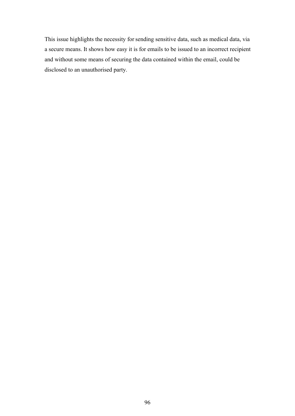This issue highlights the necessity for sending sensitive data, such as medical data, via a secure means. It shows how easy it is for emails to be issued to an incorrect recipient and without some means of securing the data contained within the email, could be disclosed to an unauthorised party.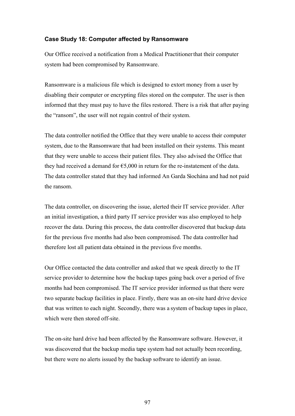#### **Case Study 18: Computer affected by Ransomware**

Our Office received a notification from a Medical Practitioner that their computer system had been compromised by Ransomware.

Ransomware is a malicious file which is designed to extort money from a user by disabling their computer or encrypting files stored on the computer. The user is then informed that they must pay to have the files restored. There is a risk that after paying the "ransom", the user will not regain control of their system.

The data controller notified the Office that they were unable to access their computer system, due to the Ransomware that had been installed on their systems. This meant that they were unable to access their patient files. They also advised the Office that they had received a demand for  $65,000$  in return for the re-instatement of the data. The data controller stated that they had informed An Garda Síochána and had not paid the ransom.

The data controller, on discovering the issue, alerted their IT service provider. After an initial investigation, a third party IT service provider was also employed to help recover the data. During this process, the data controller discovered that backup data for the previous five months had also been compromised. The data controller had therefore lost all patient data obtained in the previous five months.

Our Office contacted the data controller and asked that we speak directly to the IT service provider to determine how the backup tapes going back over a period of five months had been compromised. The IT service provider informed us that there were two separate backup facilities in place. Firstly, there was an on-site hard drive device that was written to each night. Secondly, there was a system of backup tapes in place, which were then stored off-site.

The on-site hard drive had been affected by the Ransomware software. However, it was discovered that the backup media tape system had not actually been recording, but there were no alerts issued by the backup software to identify an issue.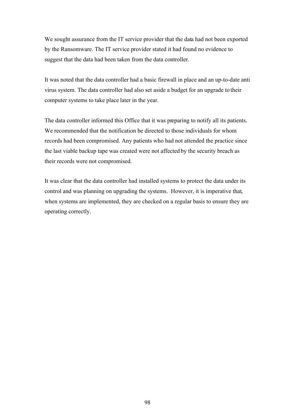We sought assurance from the IT service provider that the data had not been exported by the Ransomware. The IT service provider stated it had found no evidence to suggest that the data had been taken from the data controller.

It was noted that the data controller had a basic firewall in place and an up-to-date anti virus system. The data controller had also set aside a budget for an upgrade to their computer systems to take place later in the year.

The data controller informed this Office that it was preparing to notify all its patients. We recommended that the notification be directed to those individuals for whom records had been compromised. Any patients who had not attended the practice since the last viable backup tape was created were not affected by the security breach as their records were not compromised.

It was clear that the data controller had installed systems to protect the data under its control and was planning on upgrading the systems. However, it is imperative that, when systems are implemented, they are checked on a regular basis to ensure they are operating correctly.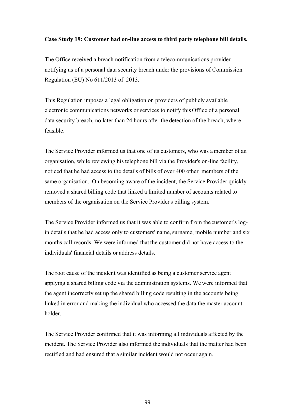#### **Case Study 19: Customer had on-line access to third party telephone bill details.**

The Office received a breach notification from a telecommunications provider notifying us of a personal data security breach under the provisions of Commission Regulation (EU) No 611/2013 of 2013.

This Regulation imposes a legal obligation on providers of publicly available electronic communications networks or services to notify this Office of a personal data security breach, no later than 24 hours after the detection of the breach, where feasible.

The Service Provider informed us that one of its customers, who was a member of an organisation, while reviewing his telephone bill via the Provider's on-line facility, noticed that he had access to the details of bills of over 400 other members of the same organisation. On becoming aware of the incident, the Service Provider quickly removed a shared billing code that linked a limited number of accounts related to members of the organisation on the Service Provider's billing system.

The Service Provider informed us that it was able to confirm from the customer's login details that he had access only to customers' name, surname, mobile number and six months call records. We were informed that the customer did not have access to the individuals' financial details or address details.

The root cause of the incident was identified as being a customer service agent applying a shared billing code via the administration systems. We were informed that the agent incorrectly set up the shared billing code resulting in the accounts being linked in error and making the individual who accessed the data the master account holder.

The Service Provider confirmed that it was informing all individuals affected by the incident. The Service Provider also informed the individuals that the matter had been rectified and had ensured that a similar incident would not occur again.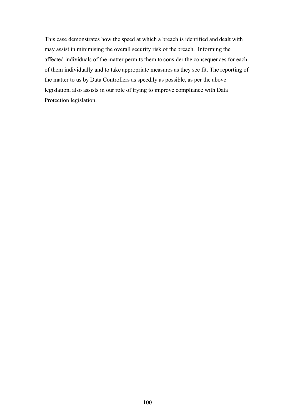This case demonstrates how the speed at which a breach is identified and dealt with may assist in minimising the overall security risk of the breach. Informing the affected individuals of the matter permits them to consider the consequences for each of them individually and to take appropriate measures as they see fit. The reporting of the matter to us by Data Controllers as speedily as possible, as per the above legislation, also assists in our role of trying to improve compliance with Data Protection legislation.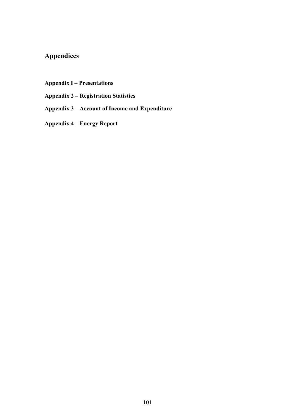# **Appendices**

**Appendix I – Presentations**

**Appendix 2 – Registration Statistics**

**Appendix 3 – Account of Income and Expenditure**

**Appendix 4 – Energy Report**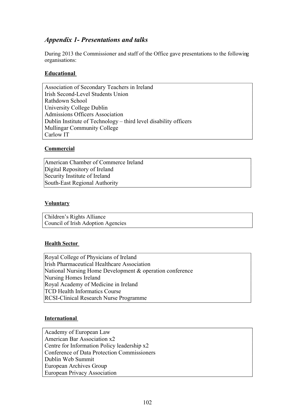# *Appendix 1- Presentations and talks*

During 2013 the Commissioner and staff of the Office gave presentations to the following organisations:

#### **Educational**

Association of Secondary Teachers in Ireland Irish Second-Level Students Union Rathdown School University College Dublin Admissions Officers Association Dublin Institute of Technology – third level disability officers Mullingar Community College Carlow IT

#### **Commercial**

American Chamber of Commerce Ireland Digital Repository of Ireland Security Institute of Ireland South-East Regional Authority

#### **Voluntary**

Children's Rights Alliance Council of Irish Adoption Agencies

#### **Health Sector**

Royal College of Physicians of Ireland Irish Pharmaceutical Healthcare Association National Nursing Home Development & operation conference Nursing Homes Ireland Royal Academy of Medicine in Ireland TCD Health Informatics Course RCSI-Clinical Research Nurse Programme

#### **International**

Academy of European Law American Bar Association x2 Centre for Information Policy leadership x2 Conference of Data Protection Commissioners Dublin Web Summit European Archives Group European Privacy Association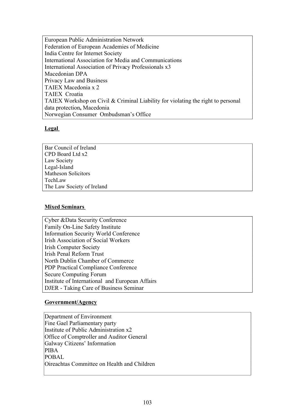European Public Administration Network Federation of European Academies of Medicine India Centre for Internet Society International Association for Media and Communications International Association of Privacy Professionals x3 Macedonian DPA Privacy Law and Business TAIEX Macedonia x 2 TAIEX Croatia TAIEX Workshop on Civil & Criminal Liability for violating the right to personal data protection**,** Macedonia Norwegian Consumer Ombudsman's Office

### **Legal**

Bar Council of Ireland CPD Board Ltd x2 Law Society Legal-Island Matheson Solicitors TechLaw The Law Society of Ireland

# **Mixed Seminars**

Cyber &Data Security Conference Family On-Line Safety Institute Information Security World Conference Irish Association of Social Workers Irish Computer Society Irish Penal Reform Trust North Dublin Chamber of Commerce PDP Practical Compliance Conference Secure Computing Forum Institute of International and European Affairs DJER - Taking Care of Business Seminar

# **Government/Agency**

Department of Environment Fine Gael Parliamentary party Institute of Public Administration x2 Office of Comptroller and Auditor General Galway Citizens' Information PIBA  $PORAI$ Oireachtas Committee on Health and Children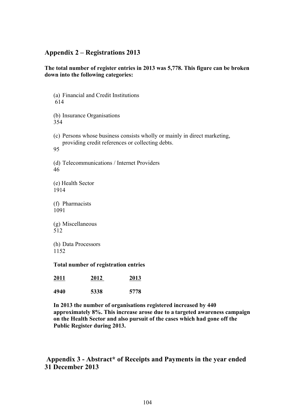# **Appendix 2 – Registrations 2013**

### **The total number of register entries in 2013 was 5,778. This figure can be broken down into the following categories:**

(a) Financial and Credit Institutions 614 (b) Insurance Organisations 354 (c) Persons whose business consists wholly or mainly in direct marketing, providing credit references or collecting debts. 95 (d) Telecommunications / Internet Providers 46 (e) Health Sector 1914 (f) Pharmacists 1091 (g) Miscellaneous 512 (h) Data Processors 1152 **Total number of registration entries 2011 2012 2013**

| 4940 | 5338 | 5778 |
|------|------|------|
|      |      |      |

**In 2013 the number of organisations registered increased by 440 approximately 8%. This increase arose due to a targeted awareness campaign on the Health Sector and also pursuit of the cases which had gone off the Public Register during 2013.**

# **Appendix 3 - Abstract\* of Receipts and Payments in the year ended 31 December 2013**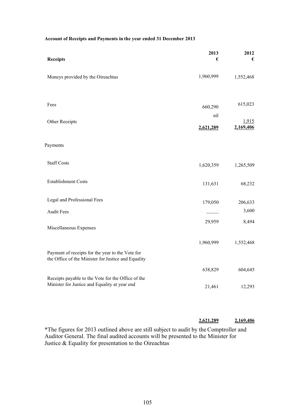| <b>Receipts</b>                                                                                         | 2013<br>€ | 2012<br>€ |
|---------------------------------------------------------------------------------------------------------|-----------|-----------|
| Moneys provided by the Oireachtas                                                                       | 1,960,999 | 1,552,468 |
| Fees                                                                                                    |           | 615,023   |
|                                                                                                         | 660,290   |           |
| Other Receipts                                                                                          | nil       | 1,915     |
|                                                                                                         | 2,621,289 | 2,169,406 |
| Payments                                                                                                |           |           |
| <b>Staff Costs</b>                                                                                      | 1,620,359 | 1,265,509 |
| <b>Establishment Costs</b>                                                                              | 131,631   | 68,232    |
| Legal and Professional Fees                                                                             | 179,050   | 206,633   |
| <b>Audit Fees</b>                                                                                       |           | 3,600     |
| Miscellaneous Expenses                                                                                  | 29,959    | 8,494     |
|                                                                                                         | 1,960,999 | 1,552,468 |
| Payment of receipts for the year to the Vote for<br>the Office of the Minister for Justice and Equality |           |           |
|                                                                                                         | 638,829   | 604,645   |
| Receipts payable to the Vote for the Office of the<br>Minister for Justice and Equality at year end     | 21,461    | 12,293    |

#### **Account of Receipts and Payments in the year ended 31 December 2013**

#### **2,621,289 2,169,406**

\*The figures for 2013 outlined above are still subject to audit by the Comptroller and Auditor General. The final audited accounts will be presented to the Minister for Justice & Equality for presentation to the Oireachtas